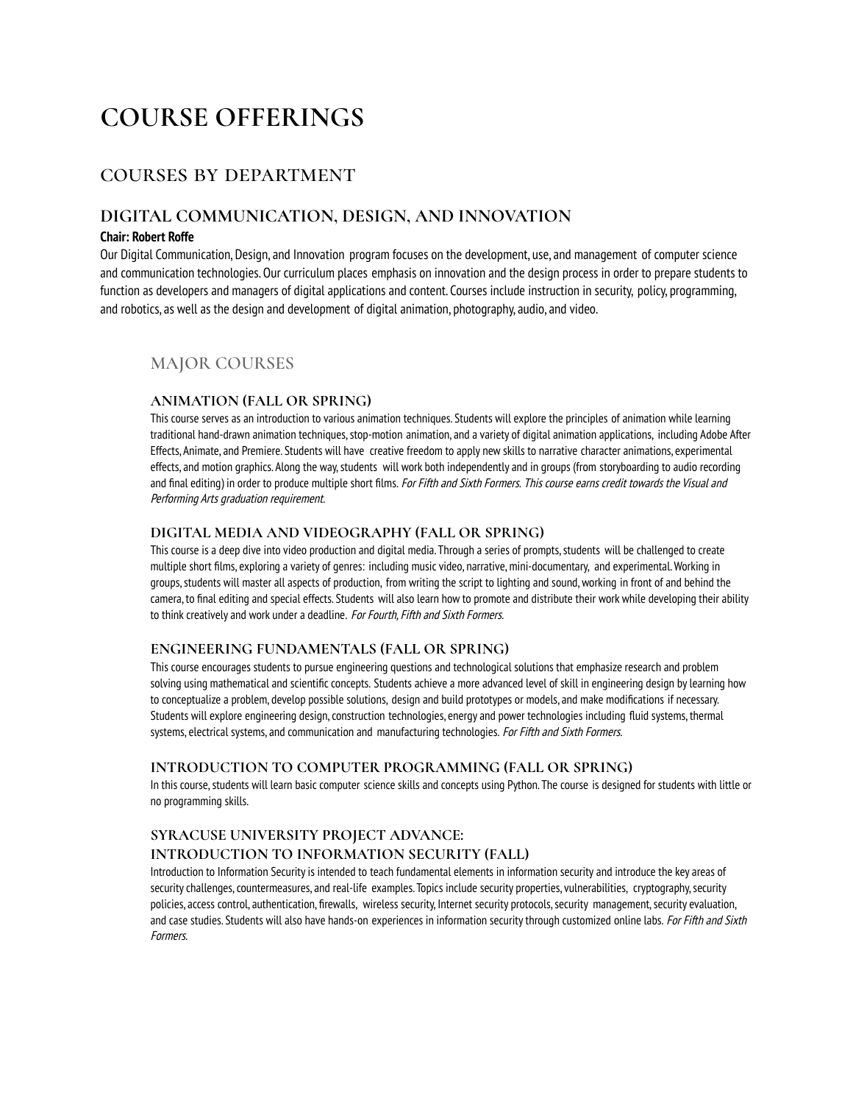# **COURSE OFFERINGS**

## courses by department

## **DIGITAL COMMUNICATION, DESIGN, AND INNOVATION**

### **Chair: Robert Roffe**

Our Digital Communication, Design, and Innovation program focuses on the development, use, and management of computer science and communication technologies. Our curriculum places emphasis on innovation and the design process in order to prepare students to function as developers and managers of digital applications and content. Courses include instruction in security, policy, programming, and robotics, as well as the design and development of digital animation, photography, audio, and video.

### **MAJOR COURSES**

### **ANIMATION (FALL OR SPRING)**

This course serves as an introduction to various animation techniques. Students will explore the principles of animation while learning traditional hand-drawn animation techniques, stop-motion animation, and a variety of digital animation applications, including Adobe After Effects, Animate, and Premiere. Students will have creative freedom to apply new skills to narrative character animations, experimental effects, and motion graphics. Along the way,students will work both independently and in groups (from storyboarding to audio recording and final editing) in order to produce multiple short films. For Fifth and Sixth Formers. This course earns credit towards the Visual and Performing Arts graduation requirement.

### **DIGITAL MEDIA AND VIDEOGRAPHY (FALL OR SPRING)**

This course is a deep dive into video production and digital media. Through a series of prompts, students will be challenged to create multiple short films, exploring a variety of genres: including musicvideo, narrative,mini-documentary, and experimental.Working in groups, students will master all aspects of production, from writing the script to lighting and sound, working in front of and behind the camera, to final editing and special effects. Students will also learn how to promote and distribute their work while developing their ability to think creatively and work under a deadline. For Fourth, Fifth and Sixth Formers.

### **ENGINEERING FUNDAMENTALS (FALL OR SPRING)**

This course encourages students to pursue engineering questions and technological solutions that emphasize research and problem solving using mathematical and scientific concepts. Students achieve a more advanced level of skill in engineering design bylearning how to conceptualize a problem, develop possible solutions, design and build prototypes or models, and make modifications if necessary. Students will explore engineering design, construction technologies, energy and power technologies including fluid systems, thermal systems, electrical systems, and communication and manufacturing technologies. For Fifth and Sixth Formers.

### **INTRODUCTION TO COMPUTER PROGRAMMING (FALL OR SPRING)**

In this course, students will learn basic computer science skills and concepts using Python. The course is designed for students with little or no programming skills.

## **SYRACUSE UNIVERSITY PROJECT ADVANCE: INTRODUCTION TO INFORMATION SECURITY (FALL)**

Introduction to Information Securityis intended to teach fundamental elements in information security and introduce the key areas of security challenges, countermeasures, and real-life examples. Topics include security properties, vulnerabilities, cryptography, security policies, access control, authentication, firewalls, wireless security, Internet security protocols, security management, security evaluation, and case studies. Students will also have hands-on experiences in information security through customized online labs. For Fifth and Sixth Formers.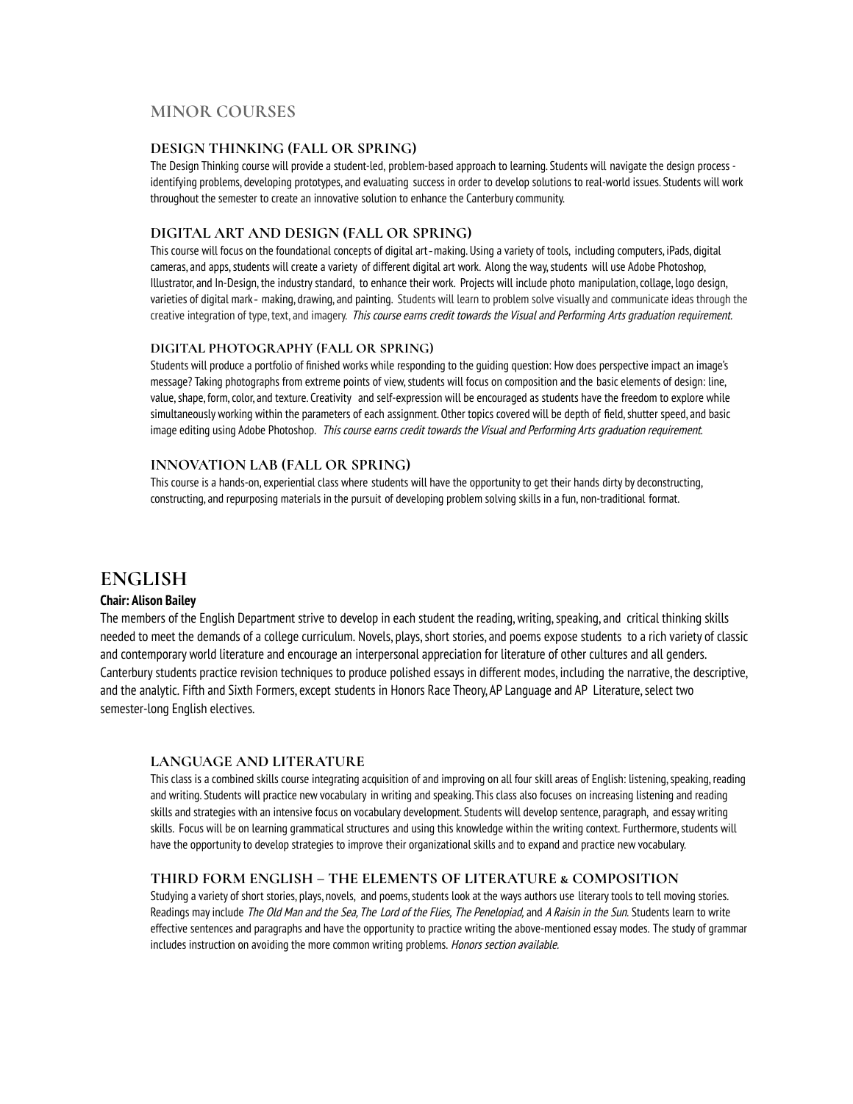## **MINOR COURSES**

### **DESIGN THINKING (FALL OR SPRING)**

The Design Thinking course will provide a student-led, problem-based approach to learning. Students will navigate the design process identifying problems, developing prototypes, and evaluating success in order to develop solutions to real-world issues. Students will work throughout the semester to create an innovative solution to enhance the Canterburycommunity.

### **DIGITAL ART AND DESIGN (FALL OR SPRING)**

This course will focus on the foundational concepts of digital art-making. Using a variety of tools, including computers, iPads, digital cameras, and apps,students will create a variety of different digital art work. Along the way,students will use Adobe Photoshop, Illustrator, and In-Design, the industrystandard, to enhance their work. Projects will include photo manipulation,collage, logo design, varieties of digital mark‐ making, drawing, and painting. Students will learn to problem solve visually and communicate ideas through the creative integration of type, text, and imagery. This course earns credit towards the Visual and Performing Arts graduation requirement.

### **DIGITAL PHOTOGRAPHY (FALL OR SPRING)**

Students will produce a portfolio of finished works while responding to the guiding question: How does perspective impact an image's message? Taking photographs from extreme points of view, students will focus on composition and the basic elements of design: line, value, shape, form, color, and texture. Creativity and self-expression will be encouraged as students have the freedom to explore while simultaneously working within the parameters of each assignment. Other topics covered will be depth of field, shutter speed, and basic image editing using Adobe Photoshop. This course earns credit towards the Visual and Performing Arts graduation requirement.

### **INNOVATION LAB (FALL OR SPRING)**

This course is a hands-on, experiential class where students will have the opportunityto get their hands dirty by deconstructing, constructing, and repurposing materials in the pursuit of developing problem solving skills in a fun, non-traditional format.

## **ENGLISH**

### **Chair: Alison Bailey**

The members of the English Department strive to develop in each student the reading, writing, speaking, and critical thinking skills needed to meet the demands of a college curriculum. Novels, plays,short stories, and poems expose students to a rich variety of classic and contemporary world literature and encourage an interpersonal appreciation for literature of other cultures and all genders. Canterbury students practice revision techniques to produce polished essays in different modes, including the narrative, the descriptive, and the analytic. Fifth and Sixth Formers, except students in Honors Race Theory, AP Language and AP Literature, select two semester-long English electives.

### **LANGUAGE AND LITERATURE**

This class is a combined skills course integrating acquisition of and improving on all four skill areas of English: listening, speaking, reading and writing. Students will practice new vocabulary in writing and speaking. This class also focuses on increasing listening and reading skills and strategies with an intensive focus on vocabulary development. Students will develop sentence, paragraph, and essay writing skills. Focus will be on learning grammatical structures and using this knowledge within the writing context. Furthermore,students will have the opportunityto develop strategies to improve their organizational skills and to expand and practice new vocabulary.

### **THIRD FORM ENGLISH – THE ELEMENTS OF LITERATURE & COMPOSITION**

Studying a variety of short stories, plays, novels, and poems, students look at the ways authors use literary tools to tell moving stories. Readings may include The Old Man and the Sea, The Lord of the Flies, The Penelopiad, and A Raisin in the Sun. Students learn to write effective sentences and paragraphs and have the opportunity to practice writing the above-mentioned essay modes. The study of grammar includes instruction on avoiding the more common writing problems. Honors section available.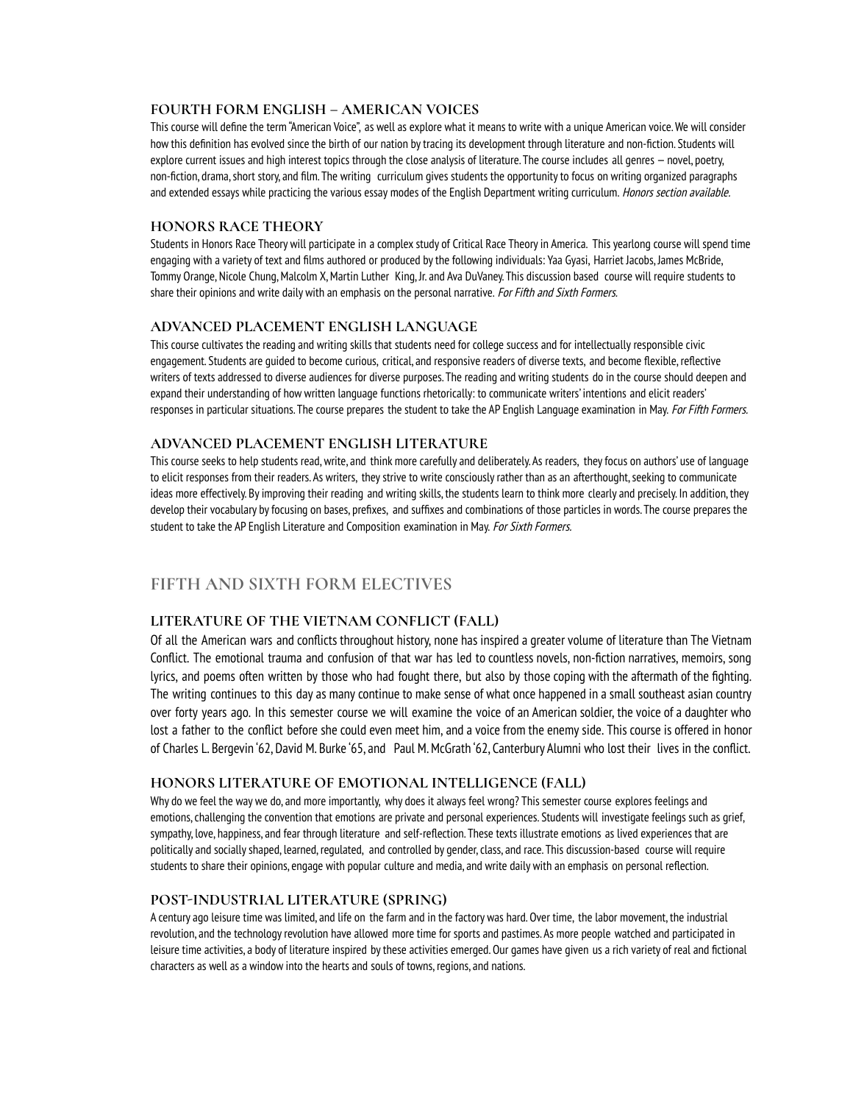### **FOURTH FORM ENGLISH – AMERICAN VOICES**

This course will define the term"American Voice", as well as explore what it means to write with a unique American voice.We will consider how this definition has evolved since the birth of our nation bytracing its development through literature and non-fiction. Students will explore current issues and high interest topics through the close analysis of literature. The course includes all genres —novel, poetry, non-fiction, drama, short story, and film. The writing curriculum gives students the opportunity to focus on writing organized paragraphs and extended essays while practicing the various essay modes of the English Department writing curriculum. Honors section available.

### **HONORS RACE THEORY**

Students in Honors Race Theory will participate in a complex study of Critical Race Theory in America. This yearlong course will spend time engaging with a variety of text and films authored or produced bythe following individuals: Yaa Gyasi, Harriet Jacobs, James McBride, Tommy Orange, Nicole Chung, Malcolm X, Martin Luther King, Jr. and Ava DuVaney. This discussion based course will require students to share their opinions and write daily with an emphasis on the personal narrative. For Fifth and Sixth Formers.

### **ADVANCED PLACEMENT ENGLISH LANGUAGE**

This course cultivates the reading and writing skills that students need for college success and for intellectually responsible civic engagement. Students are guided to become curious, critical, and responsive readers of diverse texts, and become flexible, reflective writers of texts addressed to diverse audiences for diverse purposes. The reading and writing students do in the course should deepen and expand their understanding of how written language functions rhetorically: to communicate writers' intentions and elicit readers' responses in particular situations. The course prepares the student to take the AP English Language examination in May. For Fifth Formers.

### **ADVANCED PLACEMENT ENGLISH LITERATURE**

This course seeks to help students read,write, and think more carefully and deliberately. As readers, theyfocus on authors' use of language to elicit responses from their readers. As writers, they strive to write consciously rather than as an afterthought, seeking to communicate ideas more effectively. Byimproving their reading and writing skills, the students learn to think more clearly and precisely. In addition, they develop their vocabulary byfocusing on bases, prefixes, and suffixes and combinations of those particles in words. The course prepares the student to take the AP English Literature and Composition examination in May. For Sixth Formers.

## **FIFTH AND SIXTH FORM ELECTIVES**

### **LITERATURE OF THE VIETNAM CONFLICT (FALL)**

Of all the American wars and conflicts throughout history, none has inspired a greater volume of literature than The Vietnam Conflict. The emotional trauma and confusion of that war has led to countless novels, non-fiction narratives, memoirs, song lyrics, and poems often written by those who had fought there, but also by those coping with the aftermath of the fighting. The writing continues to this day as many continue to make sense of what once happened in a small southeast asian country over forty years ago. In this semester course we will examine the voice of an American soldier, the voice of a daughter who lost a father to the conflict before she could even meet him, and a voice from the enemy side. This course is offered in honor of Charles L. Bergevin '62, David M. Burke '65, and Paul M.McGrath '62, Canterbury Alumni who lost their lives in the conflict.

### **HONORS LITERATURE OF EMOTIONAL INTELLIGENCE (FALL)**

Why do we feel the way we do, and more importantly, why does it always feel wrong? This semester course explores feelings and emotions,challenging the convention that emotions are private and personal experiences. Students will investigate feelings such as grief, sympathy, love, happiness, and fear through literature and self-reflection. These texts illustrate emotions as lived experiences that are politically and sociallyshaped, learned, regulated, and controlled by gender,class, and race. This discussion-based course will require students to share their opinions, engage with popular culture and media, and write daily with an emphasis on personal reflection.

### **POST-INDUSTRIAL LITERATURE (SPRING)**

A century ago leisure time was limited, and life on the farm and in the factory was hard. Over time, the labor movement, the industrial revolution, and the technologyrevolution have allowed more time for sports and pastimes. As more people watched and participated in leisure time activities, a body of literature inspired bythese activities emerged. Our games have given us a rich variety of real and fictional characters as well as a window into the hearts and souls of towns, regions, and nations.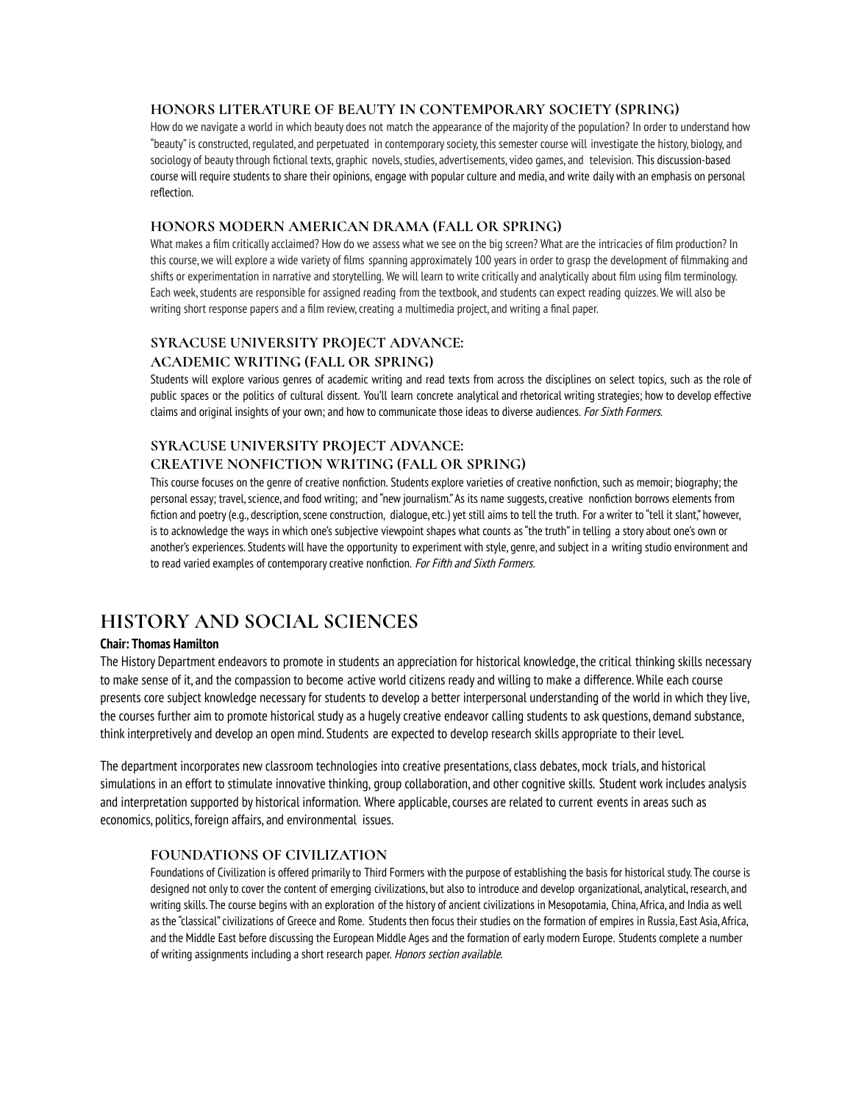### **HONORS LITERATURE OF BEAUTY IN CONTEMPORARY SOCIETY (SPRING)**

How do we navigate a world in which beauty does not match the appearance of the majority of the population? In order to understand how "beauty" is constructed, regulated, and perpetuated in contemporarysociety, this semester course will investigate the history, biology, and sociology of beauty through fictional texts, graphic novels, studies, advertisements, video games, and television. This discussion-based course will require students to share their opinions, engage with popular culture and media, and write daily with an emphasis on personal reflection.

### **HONORS MODERN AMERICAN DRAMA (FALL OR SPRING)**

What makes a film critically acclaimed? How do we assess what we see on the big screen? What are the intricacies of film production? In this course, we will explore a wide variety of films spanning approximately 100 years in order to grasp the development of filmmaking and shifts or experimentation in narrative and storytelling. We will learn to write critically and analytically about film using film terminology. Each week, students are responsible for assigned reading from the textbook, and students can expect reading quizzes. We will also be writing short response papers and a film review, creating a multimedia project, and writing a final paper.

## **SYRACUSE UNIVERSITY PROJECT ADVANCE:**

### **ACADEMIC WRITING (FALL OR SPRING)**

Students will explore various genres of academic writing and read texts from across the disciplines on select topics, such as the role of public spaces or the politics of cultural dissent. You'll learn concrete analytical and rhetorical writing strategies; how to develop effective claims and original insights of your own; and how to communicate those ideas to diverse audiences. For Sixth Formers.

## **SYRACUSE UNIVERSITY PROJECT ADVANCE: CREATIVE NONFICTION WRITING (FALL OR SPRING)**

This course focuses on the genre of creative nonfiction. Students explore varieties of creative nonfiction, such as memoir; biography; the personal essay; travel, science, and food writing; and "new journalism." As its name suggests, creative nonfiction borrows elements from fiction and poetry(e.g., description,scene construction, dialogue, etc.) yet still aims to tell the truth. For a writer to "tell it slant," however, is to acknowledge the ways in which one's subjective viewpoint shapes what counts as"the truth" in telling a story about one's own or another's experiences. Students will have the opportunity to experiment with style, genre, and subject in a writing studio environment and to read varied examples of contemporary creative nonfiction. For Fifth and Sixth Formers.

## **HISTORY AND SOCIAL SCIENCES**

### **Chair: Thomas Hamilton**

The History Department endeavors to promote in students an appreciation for historical knowledge, the critical thinking skills necessary to make sense of it, and the compassion to become active world citizens ready and willing to make a difference.While each course presents core subject knowledge necessaryfor students to develop a better interpersonal understanding of the world in which theylive, the courses further aim to promote historical study as a hugely creative endeavor calling students to ask questions, demand substance, thinkinterpretively and develop an open mind. Students are expected to develop research skills appropriate to their level.

The department incorporates new classroom technologies into creative presentations, class debates, mock trials, and historical simulations in an effort to stimulate innovative thinking, group collaboration, and other cognitive skills. Student work includes analysis and interpretation supported by historical information. Where applicable, courses are related to current events in areas such as economics, politics, foreign affairs, and environmental issues.

### **FOUNDATIONS OF CIVILIZATION**

Foundations of Civilization is offered primarily to Third Formers with the purpose of establishing the basis for historical study. The course is designed not onlyto cover the content of emerging civilizations, but also to introduce and develop organizational, analytical, research, and writing skills. The course begins with an exploration of the history of ancient civilizations in Mesopotamia, China, Africa, and India as well as the "classical"civilizations of Greece and Rome. Students then focus their studies on the formation of empires in Russia, East Asia, Africa, and the Middle East before discussing the European Middle Ages and the formation of early modern Europe. Students complete a number of writing assignments including a short research paper. Honors section available.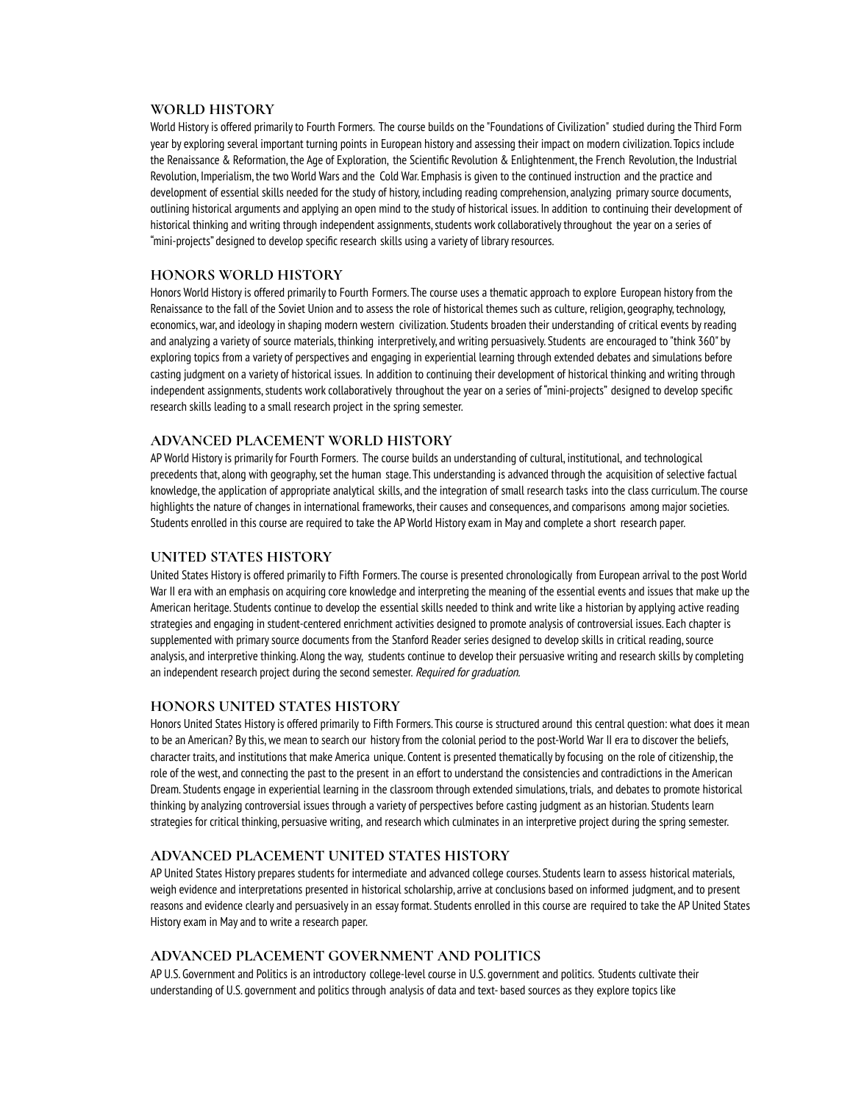### **WORLD HISTORY**

World History is offered primarily to Fourth Formers. The course builds on the "Foundations of Civilization" studied during the Third Form year by exploring several important turning points in European history and assessing their impact on modern civilization. Topics include the Renaissance & Reformation, the Age of Exploration, the Scientific Revolution & Enlightenment, the French Revolution, the Industrial Revolution, Imperialism, the two World Wars and the Cold War. Emphasis is given to the continued instruction and the practice and development of essential skills needed for the study of history, including reading comprehension, analyzing primarysource documents, outlining historical arguments and applying an open mind to the study of historical issues. In addition to continuing their development of historical thinking and writing through independent assignments, students work collaboratively throughout the year on a series of "mini-projects" designed to develop specific research skills using a variety of libraryresources.

### **HONORS WORLD HISTORY**

Honors World History is offered primarily to Fourth Formers. The course uses a thematic approach to explore European history from the Renaissance to the fall of the Soviet Union and to assess the role of historical themes such as culture, religion, geography, technology, economics, war, and ideology in shaping modern western civilization. Students broaden their understanding of critical events by reading and analyzing a variety of source materials, thinking interpretively, and writing persuasively. Students are encouraged to "think 360" by exploring topics from a variety of perspectives and engaging in experiential learning through extended debates and simulations before casting judgment on a variety of historical issues. In addition to continuing their development of historical thinking and writing through independent assignments, students work collaboratively throughout the year on a series of "mini-projects" designed to develop specific research skills leading to a small research project in the spring semester.

### **ADVANCED PLACEMENT WORLD HISTORY**

AP World History is primarily for Fourth Formers. The course builds an understanding of cultural, institutional, and technological precedents that, along with geography,set the human stage. This understanding is advanced through the acquisition of selective factual knowledge, the application of appropriate analytical skills, and the integration of small research tasks into the class curriculum. The course highlights the nature of changes in international frameworks, their causes and consequences, and comparisons among major societies. Students enrolled in this course are required to take the APWorld History exam in May and complete a short research paper.

### **UNITED STATES HISTORY**

United States Historyis offered primarilyto Fifth Formers. The course is presented chronologically from European arrival to the post World War II era with an emphasis on acquiring core knowledge and interpreting the meaning of the essential events and issues that make up the American heritage. Students continue to develop the essential skills needed to think and write like a historian by applying active reading strategies and engaging in student-centered enrichment activities designed to promote analysis of controversial issues. Each chapter is supplemented with primary source documents from the Stanford Reader series designed to develop skills in critical reading, source analysis, and interpretive thinking. Along the way, students continue to develop their persuasive writing and research skills bycompleting an independent research project during the second semester. Required for graduation.

### **HONORS UNITED STATES HISTORY**

Honors United States History is offered primarily to Fifth Formers. This course is structured around this central question: what does it mean to be an American? By this, we mean to search our history from the colonial period to the post-World War II era to discover the beliefs, character traits, and institutions that make America unique. Content is presented thematically byfocusing on the role of citizenship, the role of the west, and connecting the past to the present in an effort to understand the consistencies and contradictions in the American Dream. Students engage in experiential learning in the classroom through extended simulations, trials, and debates to promote historical thinking by analyzing controversial issues through a variety of perspectives before casting judgment as an historian. Students learn strategies for critical thinking, persuasive writing, and research which culminates in an interpretive project during the spring semester.

### **ADVANCED PLACEMENT UNITED STATES HISTORY**

AP United States History prepares students for intermediate and advanced college courses. Students learn to assess historical materials, weigh evidence and interpretations presented in historical scholarship, arrive at conclusions based on informed judgment, and to present reasons and evidence clearly and persuasively in an essay format. Students enrolled in this course are required to take the AP United States History exam in May and to write a research paper.

### **ADVANCED PLACEMENT GOVERNMENT AND POLITICS**

AP U.S. Government and Politics is an introductory college-level course in U.S. government and politics. Students cultivate their understanding of U.S. government and politics through analysis of data and text- based sources as they explore topics like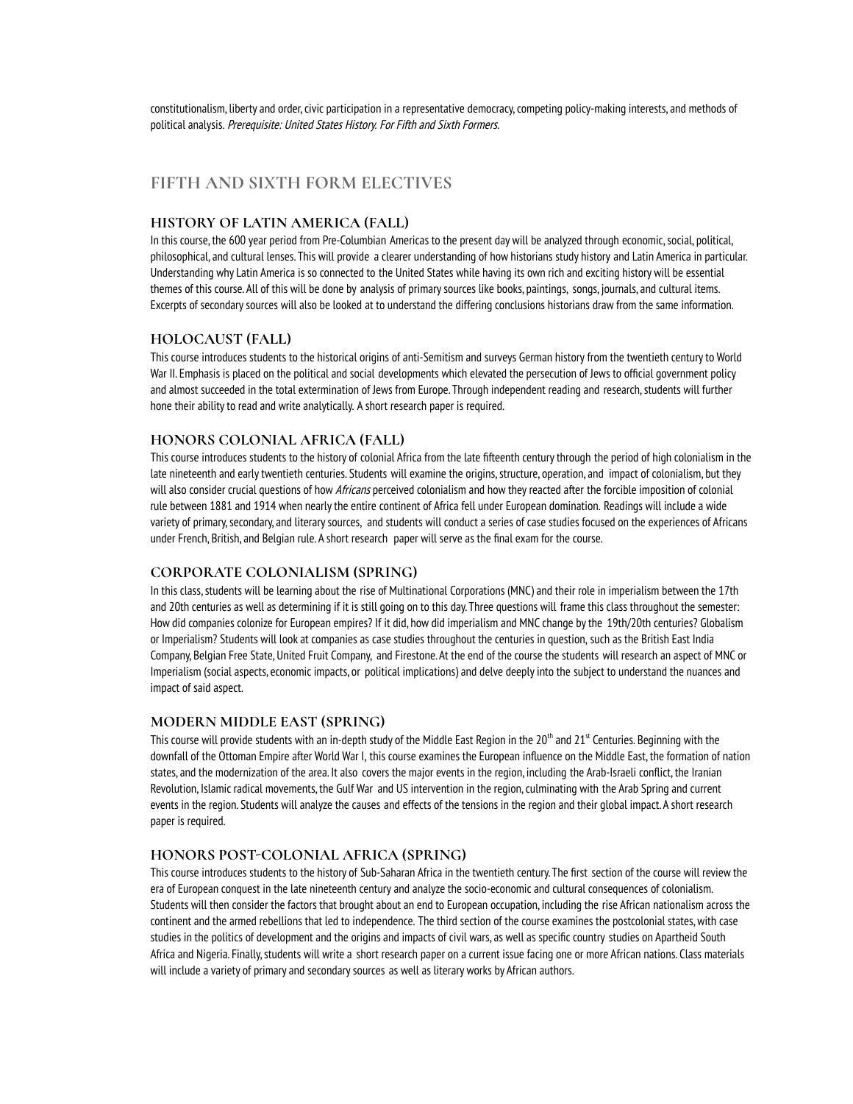constitutionalism, liberty and order, civic participation in a representative democracy, competing policy-making interests, and methods of political analysis. Prerequisite: United States History. For Fifth and Sixth Formers.

## **FIFTH AND SIXTH FORM ELECTIVES**

### **HISTORY OF LATIN AMERICA (FALL)**

In this course, the 600 year period from Pre-Columbian Americas to the present day will be analyzed through economic, social, political, philosophical, and cultural lenses. This will provide a clearer understanding of how historians study history and Latin America in particular. Understanding why Latin America is so connected to the United States while having its own rich and exciting history will be essential themes of this course. All of this will be done by analysis of primarysources like books, paintings, songs, journals, and cultural items. Excerpts of secondarysources will also be looked at to understand the differing conclusions historians draw from the same information.

### **HOLOCAUST (FALL)**

This course introduces students to the historical origins of anti-Semitism and surveys German history from the twentieth centuryto World War II. Emphasis is placed on the political and social developments which elevated the persecution of Jews to official government policy and almost succeeded in the total extermination of Jews from Europe. Through independent reading and research, students will further hone their ability to read and write analytically. A short research paper is required.

### **HONORS COLONIAL AFRICA (FALL)**

This course introduces students to the history of colonial Africa from the late fifteenth centurythrough the period of high colonialism in the late nineteenth and early twentieth centuries. Students will examine the origins, structure, operation, and impact of colonialism, but they will also consider crucial questions of how Africans perceived colonialism and how they reacted after the forcible imposition of colonial rule between 1881 and 1914 when nearlythe entire continent of Africa fell under European domination. Readings will include a wide variety of primary,secondary, and literarysources, and students will conduct a series of case studies focused on the experiences of Africans under French, British, and Belgian rule. A short research paper will serve as the final exam for the course.

### **CORPORATE COLONIALISM (SPRING)**

In this class, students will be learning about the rise of Multinational Corporations (MNC) and their role in imperialism between the 17th and 20th centuries as well as determining if it is still going on to this day. Three questions will frame this class throughout the semester: How did companies colonize for European empires? If it did, how did imperialism and MNC change bythe 19th/20th centuries? Globalism or Imperialism? Students will look at companies as case studies throughout the centuries in question, such as the British East India Company, Belgian Free State, United Fruit Company, and Firestone. At the end of the course the students will research an aspect of MNC or Imperialism (social aspects, economic impacts, or political implications) and delve deeplyinto the subject to understand the nuances and impact of said aspect.

### **MODERN MIDDLE EAST (SPRING)**

This course will provide students with an in-depth study of the Middle East Region in the 20<sup>th</sup> and 21<sup>st</sup> Centuries. Beginning with the downfall of the Ottoman Empire after World War I, this course examines the European influence on the Middle East, the formation of nation states, and the modernization of the area. It also covers the major events in the region, including the Arab-Israeli conflict, the Iranian Revolution, Islamic radical movements, the Gulf War and US intervention in the region, culminating with the Arab Spring and current events in the region. Students will analyze the causes and effects of the tensions in the region and their global impact. A short research paper is required.

### **HONORS POST-COLONIAL AFRICA (SPRING)**

This course introduces students to the history of Sub-Saharan Africa in the twentieth century. The first section of the course will review the era of European conquest in the late nineteenth century and analyze the socio-economic and cultural consequences of colonialism. Students will then consider the factors that brought about an end to European occupation, including the rise African nationalism across the continent and the armed rebellions that led to independence. The third section of the course examines the postcolonial states,with case studies in the politics of development and the origins and impacts of civil wars, as well as specific country studies on Apartheid South Africa and Nigeria. Finally, students will write a short research paper on a current issue facing one or more African nations. Class materials will include a variety of primary and secondary sources as well as literary works by African authors.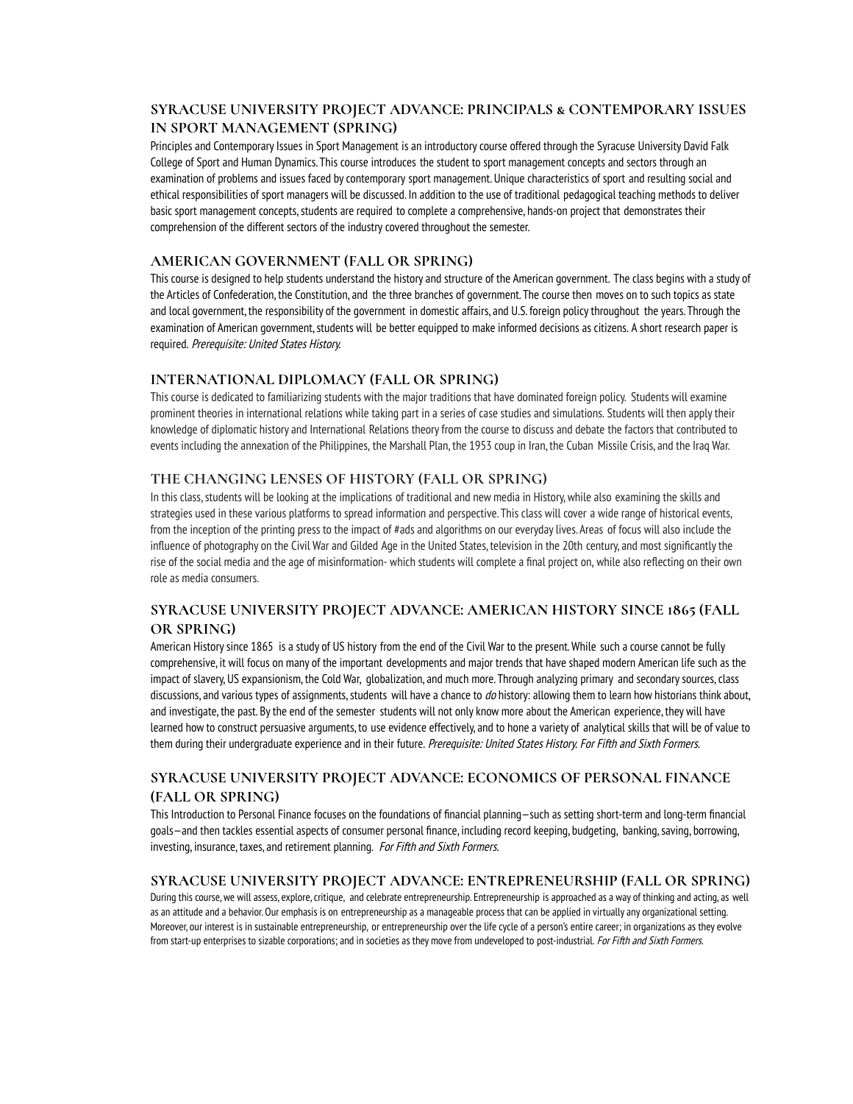### **SYRACUSE UNIVERSITY PROJECT ADVANCE: PRINCIPALS & CONTEMPORARY ISSUES IN SPORT MANAGEMENT (SPRING)**

Principles and Contemporary Issues in Sport Management is an introductory course offered through the Syracuse University David Falk College of Sport and Human Dynamics. This course introduces the student to sport management concepts and sectors through an examination of problems and issues faced by contemporary sport management. Unique characteristics of sport and resulting social and ethical responsibilities of sport managers will be discussed. In addition to the use of traditional pedagogical teaching methods to deliver basic sport management concepts, students are required to complete a comprehensive, hands-on project that demonstrates their comprehension of the different sectors of the industry covered throughout the semester.

### **AMERICAN GOVERNMENT (FALL OR SPRING)**

This course is designed to help students understand the history and structure of the American government. The class begins with a study of the Articles of Confederation, the Constitution, and the three branches of government. The course then moves on to such topics as state and local government, the responsibility of the government in domestic affairs, and U.S. foreign policythroughout the years. Through the examination of American government, students will be better equipped to make informed decisions as citizens. A short research paper is required. Prerequisite: United States History.

### **INTERNATIONAL DIPLOMACY (FALL OR SPRING)**

This course is dedicated to familiarizing students with the major traditions that have dominated foreign policy. Students will examine prominent theories in international relations while taking part in a series of case studies and simulations. Students will then apply their knowledge of diplomatic history and International Relations theoryfrom the course to discuss and debate the factors that contributed to events including the annexation of the Philippines, the Marshall Plan, the 1953 coup in Iran, the Cuban Missile Crisis, and the Iraq War.

### **THE CHANGING LENSES OF HISTORY (FALL OR SPRING)**

In this class, students will be looking at the implications of traditional and new media in History, while also examining the skills and strategies used in these various platforms to spread information and perspective. This class will cover a wide range of historical events, from the inception of the printing press to the impact of #ads and algorithms on our everyday lives. Areas of focus will also include the influence of photography on the Civil War and Gilded Age in the United States, television in the 20th century, and most significantly the rise of the social media and the age of misinformation- which students will complete a final project on, while also reflecting on their own role as media consumers.

### **SYRACUSE UNIVERSITY PROJECT ADVANCE: AMERICAN HISTORY SINCE 1865 (FALL OR SPRING)**

American Historysince 1865 is a study of US history from the end of the Civil War to the present.While such a course cannot be fully comprehensive, it will focus on many of the important developments and major trends that have shaped modern American life such as the impact of slavery, US expansionism, the Cold War, globalization, and much more. Through analyzing primary and secondary sources, class discussions, and various types of assignments, students will have a chance to do history: allowing them to learn how historians think about, and investigate, the past. Bythe end of the semester students will not onlyknow more about the American experience, they will have learned how to construct persuasive arguments, to use evidence effectively, and to hone a variety of analytical skills that will be of value to them during their undergraduate experience and in their future. Prerequisite: United States History. For Fifth and Sixth Formers.

### **SYRACUSE UNIVERSITY PROJECT ADVANCE: ECONOMICS OF PERSONAL FINANCE (FALL OR SPRING)**

This Introduction to Personal Finance focuses on the foundations of financial planning—such as setting short-term and long-term financial goals—and then tackles essential aspects of consumer personal finance, including record keeping, budgeting, banking, saving, borrowing, investing, insurance, taxes, and retirement planning. For Fifth and Sixth Formers.

### **SYRACUSE UNIVERSITY PROJECT ADVANCE: ENTREPRENEURSHIP (FALL OR SPRING)**

During this course, we will assess, explore, critique, and celebrate entrepreneurship. Entrepreneurship is approached as a way of thinking and acting, as well as an attitude and a behavior. Our emphasis is on entrepreneurship as a manageable process that can be applied in virtually any organizational setting. Moreover, our interest is in sustainable entrepreneurship, or entrepreneurship over the life cycle of a person's entire career; in organizations as they evolve from start-up enterprises to sizable corporations; and in societies as they move from undeveloped to post-industrial. For Fifth and Sixth Formers.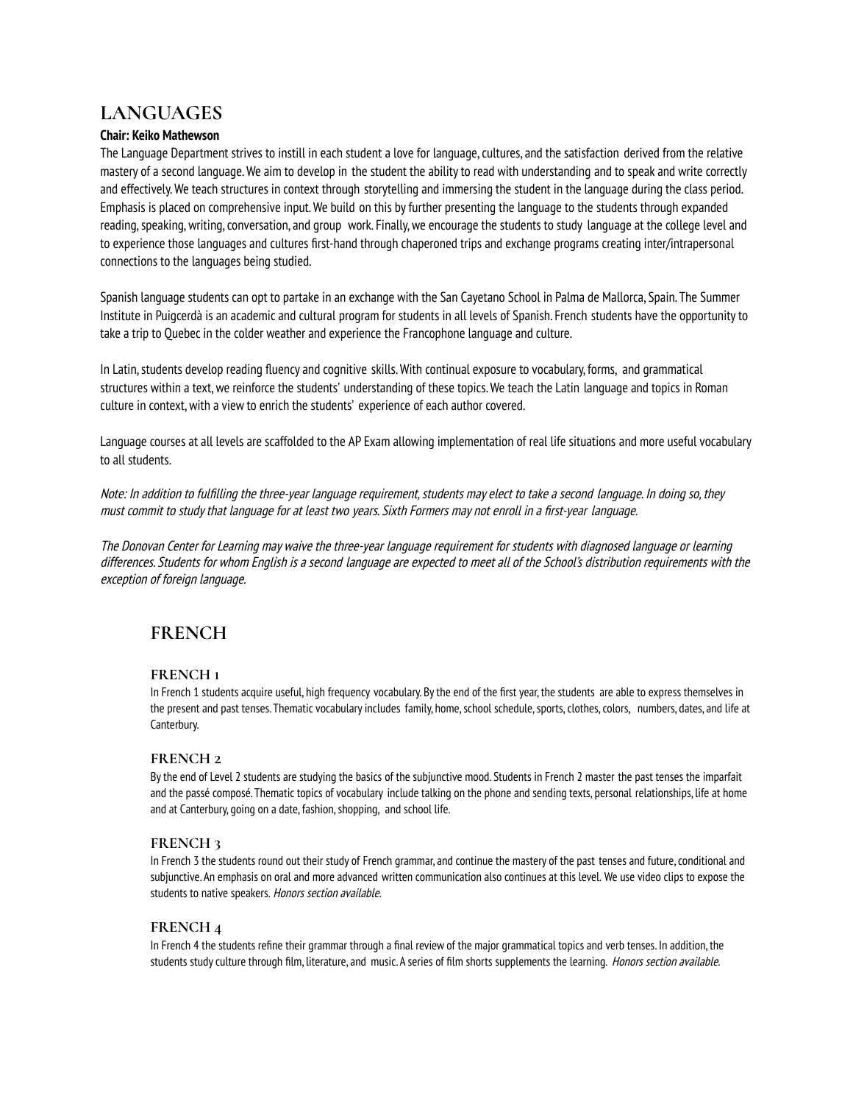## **LANGUAGES**

### **Chair: Keiko Mathewson**

The Language Department strives to instill in each student a love for language, cultures, and the satisfaction derived from the relative mastery of a second language.We aim to develop in the student the abilityto read with understanding and to speak and write correctly and effectively.We teach structures in context through storytelling and immersing the student in the language during the class period. Emphasis is placed on comprehensive input.We build on this byfurther presenting the language to the students through expanded reading, speaking, writing, conversation, and group work. Finally, we encourage the students to study language at the college level and to experience those languages and cultures first-hand through chaperoned trips and exchange programs creating inter/intrapersonal connections to the languages being studied.

Spanish language students can opt to partake in an exchange with the San Cayetano School in Palma de Mallorca, Spain. The Summer Institute in Puigcerdà is an academic and cultural program for students in all levels of Spanish. French students have the opportunityto take a trip to Quebec in the colder weather and experience the Francophone language and culture.

In Latin, students develop reading fluency and cognitive skills. With continual exposure to vocabulary, forms, and grammatical structures within a text,we reinforce the students' understanding of these topics.We teach the Latin language and topics in Roman culture in context,with a view to enrich the students' experience of each author covered.

Language courses at all levels are scaffolded to the AP Exam allowing implementation of real life situations and more useful vocabulary to all students.

Note: In addition to fulfilling the three-year language requirement, students may elect to take a second language. In doing so, they must commit to studythat language for at least two years. Sixth Formers may not enroll in <sup>a</sup> first-year language.

The Donovan Center for Learning may waive the three-year language requirement for students with diagnosed language or learning differences. Students for whom English is <sup>a</sup> second language are expected to meet all of the School's distribution requirements with the exception of foreign language.

## **FRENCH**

### **FRENCH 1**

In French 1 students acquire useful, high frequency vocabulary. Bythe end of the first year, the students are able to express themselves in the present and past tenses. Thematic vocabulary includes family, home, school schedule, sports, clothes, colors, numbers, dates, and life at Canterbury.

### **FRENCH 2**

Bythe end of Level 2 students are studying the basics of the subjunctive mood. Students in French 2 master the past tenses the imparfait and the passé composé. Thematic topics of vocabulary include talking on the phone and sending texts, personal relationships, life at home and at Canterbury, going on a date, fashion, shopping, and school life.

### **FRENCH 3**

In French 3 the students round out their study of French grammar, and continue the mastery of the past tenses and future,conditional and subjunctive. An emphasis on oral and more advanced written communication also continues at this level. We use video clips to expose the students to native speakers. Honors section available.

### **FRENCH 4**

In French 4 the students refine their grammar through a final review of the major grammatical topics and verb tenses. In addition, the students study culture through film, literature, and music. A series of film shorts supplements the learning. Honors section available.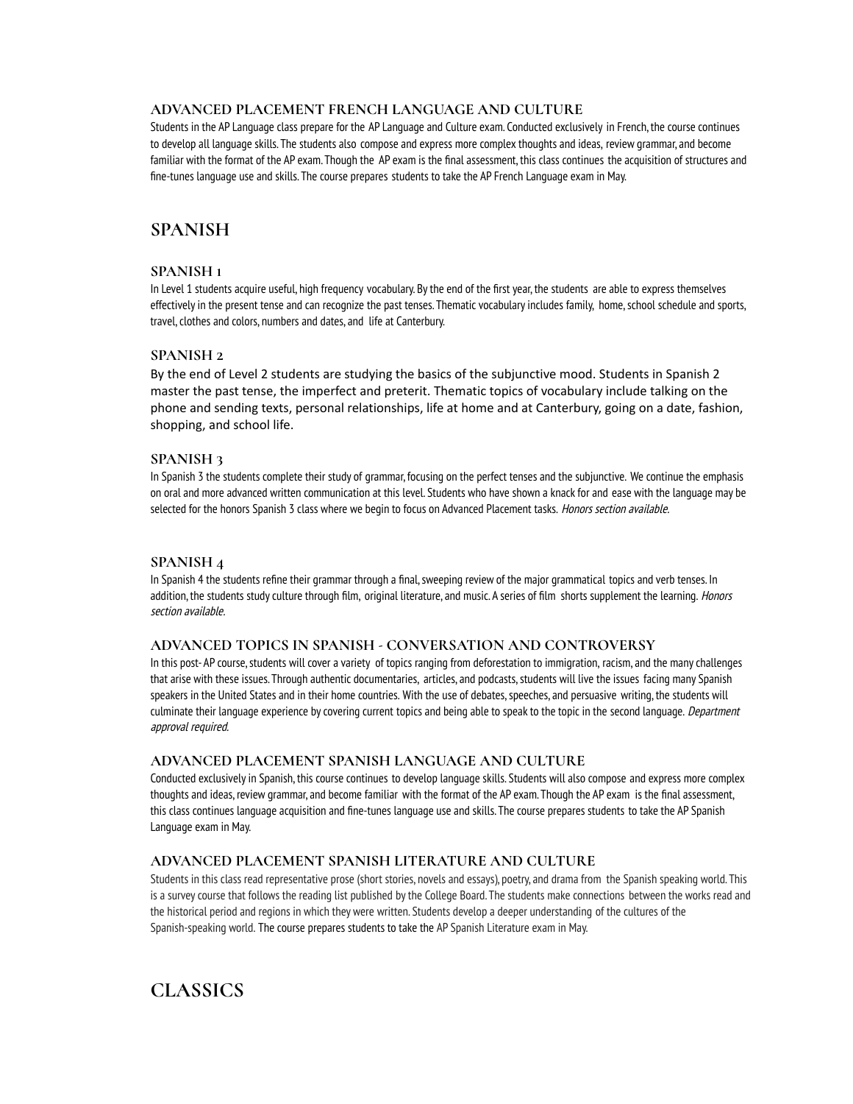### **ADVANCED PLACEMENT FRENCH LANGUAGE AND CULTURE**

Students in the AP Language class prepare for the AP Language and Culture exam. Conducted exclusively in French, the course continues to develop all language skills. The students also compose and express more complex thoughts and ideas, review grammar, and become familiar with the format of the AP exam. Though the AP exam is the final assessment, this class continues the acquisition of structures and fine-tunes language use and skills. The course prepares students to take the AP French Language exam in May.

## **SPANISH**

### **SPANISH 1**

In Level 1 students acquire useful, high frequency vocabulary. Bythe end of the first year, the students are able to express themselves effectively in the present tense and can recognize the past tenses. Thematic vocabulary includes family, home, school schedule and sports, travel, clothes and colors, numbers and dates, and life at Canterbury.

### **SPANISH 2**

By the end of Level 2 students are studying the basics of the subjunctive mood. Students in Spanish 2 master the past tense, the imperfect and preterit. Thematic topics of vocabulary include talking on the phone and sending texts, personal relationships, life at home and at Canterbury, going on a date, fashion, shopping, and school life.

### **SPANISH 3**

In Spanish 3 the students complete their study of grammar, focusing on the perfect tenses and the subjunctive. We continue the emphasis on oral and more advanced written communication at this level. Students who have shown a knackfor and ease with the language may be selected for the honors Spanish 3 class where we begin to focus on Advanced Placement tasks. Honors section available.

### **SPANISH 4**

In Spanish 4 the students refine their grammar through a final, sweeping review of the major grammatical topics and verb tenses. In addition, the students study culture through film, original literature, and music. A series of film shorts supplement the learning. Honors section available.

### **ADVANCED TOPICS IN SPANISH - CONVERSATION AND CONTROVERSY**

In this post-AP course, students will cover a variety of topics ranging from deforestation to immigration, racism, and the many challenges that arise with these issues. Through authentic documentaries, articles, and podcasts, students will live the issues facing many Spanish speakers in the United States and in their home countries. With the use of debates, speeches, and persuasive writing, the students will culminate their language experience by covering current topics and being able to speak to the topic in the second language. Department approval required.

### **ADVANCED PLACEMENT SPANISH LANGUAGE AND CULTURE**

Conducted exclusivelyin Spanish, this course continues to develop language skills. Students will also compose and express more complex thoughts and ideas, review grammar, and become familiar with the format of the AP exam. Though the AP exam is the final assessment, this class continues language acquisition and fine-tunes language use and skills. The course prepares students to take the AP Spanish Language exam in May.

### **ADVANCED PLACEMENT SPANISH LITERATURE AND CULTURE**

Students in this class read representative prose (short stories, novels and essays), poetry, and drama from the Spanish speaking world. This is a survey course that follows the reading list published by the College Board. The students make connections between the works read and the historical period and regions in which they were written. Students develop a deeper understanding of the cultures of the Spanish-speaking world. The course prepares students to take the AP Spanish Literature exam in May.

## **CLASSICS**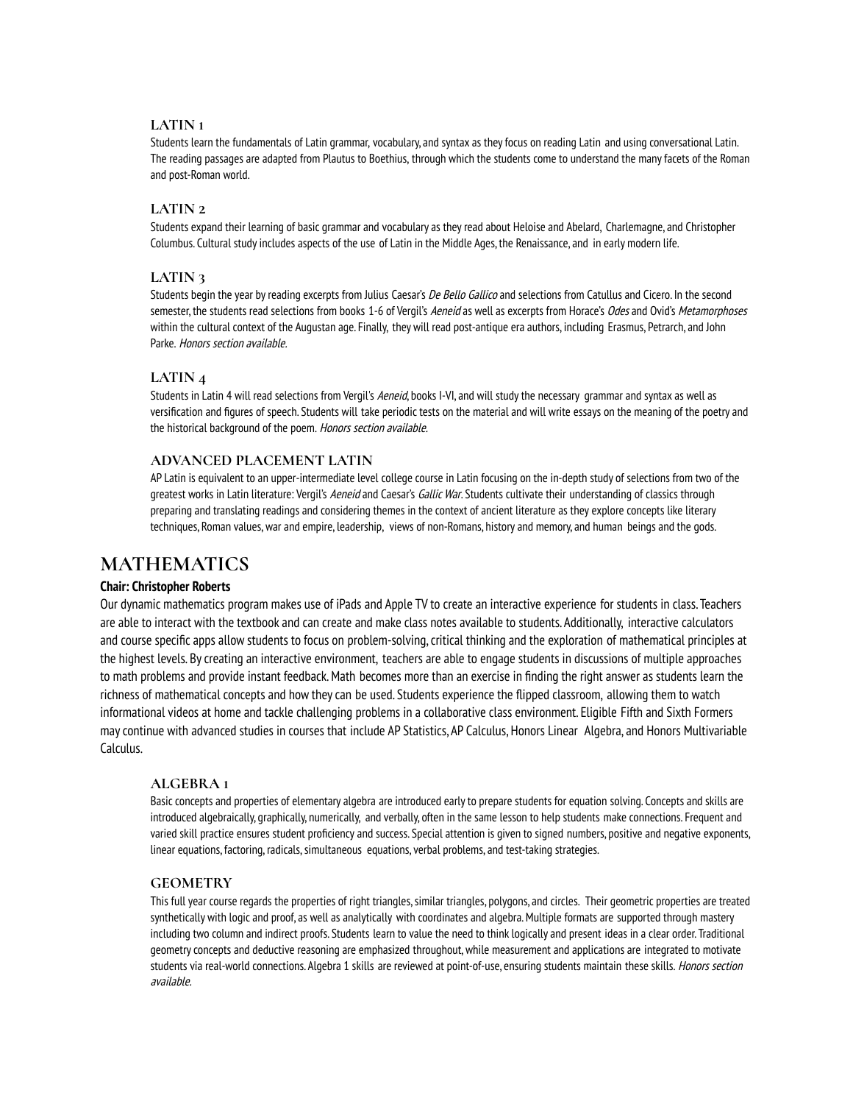### **LATIN 1**

Students learn the fundamentals of Latin grammar, vocabulary, and syntax as theyfocus on reading Latin and using conversational Latin. The reading passages are adapted from Plautus to Boethius, through which the students come to understand the manyfacets of the Roman and post-Roman world.

### **LATIN 2**

Students expand their learning of basic grammar and vocabulary as theyread about Heloise and Abelard, Charlemagne, and Christopher Columbus. Cultural studyincludes aspects of the use of Latin in the Middle Ages, the Renaissance, and in early modern life.

### **LATIN 3**

Students begin the year by reading excerpts from Julius Caesar's De Bello Gallico and selections from Catullus and Cicero. In the second semester, the students read selections from books 1-6 of Vergil's Aeneid as well as excerpts from Horace's Odes and Ovid's Metamorphoses within the cultural context of the Augustan age. Finally, they will read post-antique era authors, including Erasmus, Petrarch, and John Parke. Honors section available.

### **LATIN 4**

Students in Latin 4 will read selections from Vergil's Aeneid, books I-VI, and will study the necessary grammar and syntax as well as versification and figures of speech. Students will take periodic tests on the material and will write essays on the meaning of the poetry and the historical background of the poem. Honors section available.

### **ADVANCED PLACEMENT LATIN**

AP Latin is equivalent to an upper-intermediate level college course in Latin focusing on the in-depth study of selections from two of the greatest works in Latin literature: Vergil's Aeneid and Caesar's Gallic War. Students cultivate their understanding of classics through preparing and translating readings and considering themes in the context of ancient literature as they explore concepts like literary techniques, Roman values,war and empire, leadership, views of non-Romans, history and memory, and human beings and the gods.

## **MATHEMATICS**

### **Chair: Christopher Roberts**

Our dynamic mathematics program makes use of iPads and Apple TV to create an interactive experience for students in class. Teachers are able to interact with the textbook and can create and make class notes available to students. Additionally, interactive calculators and course specific apps allow students to focus on problem-solving,critical thinking and the exploration of mathematical principles at the highest levels. Bycreating an interactive environment, teachers are able to engage students in discussions of multiple approaches to math problems and provide instant feedback.Math becomes more than an exercise in finding the right answer as students learn the richness of mathematical concepts and how theycan be used. Students experience the flipped classroom, allowing them to watch informational videos at home and tackle challenging problems in a collaborative class environment. Eligible Fifth and Sixth Formers maycontinue with advanced studies in courses that include AP Statistics, AP Calculus, Honors Linear Algebra, and Honors Multivariable Calculus.

### **ALGEBRA 1**

Basic concepts and properties of elementary algebra are introduced earlyto prepare students for equation solving. Concepts and skills are introduced algebraically, graphically, numerically, and verbally, often in the same lesson to help students make connections. Frequent and varied skill practice ensures student proficiency and success. Special attention is given to signed numbers, positive and negative exponents, linear equations, factoring, radicals, simultaneous equations, verbal problems, and test-taking strategies.

### **GEOMETRY**

This full year course regards the properties of right triangles, similar triangles, polygons, and circles. Their geometric properties are treated synthetically with logic and proof, as well as analytically with coordinates and algebra. Multiple formats are supported through mastery including two column and indirect proofs. Students learn to value the need to think logically and present ideas in a clear order. Traditional geometryconcepts and deductive reasoning are emphasized throughout,while measurement and applications are integrated to motivate students via real-world connections. Algebra 1 skills are reviewed at point-of-use, ensuring students maintain these skills. Honors section available.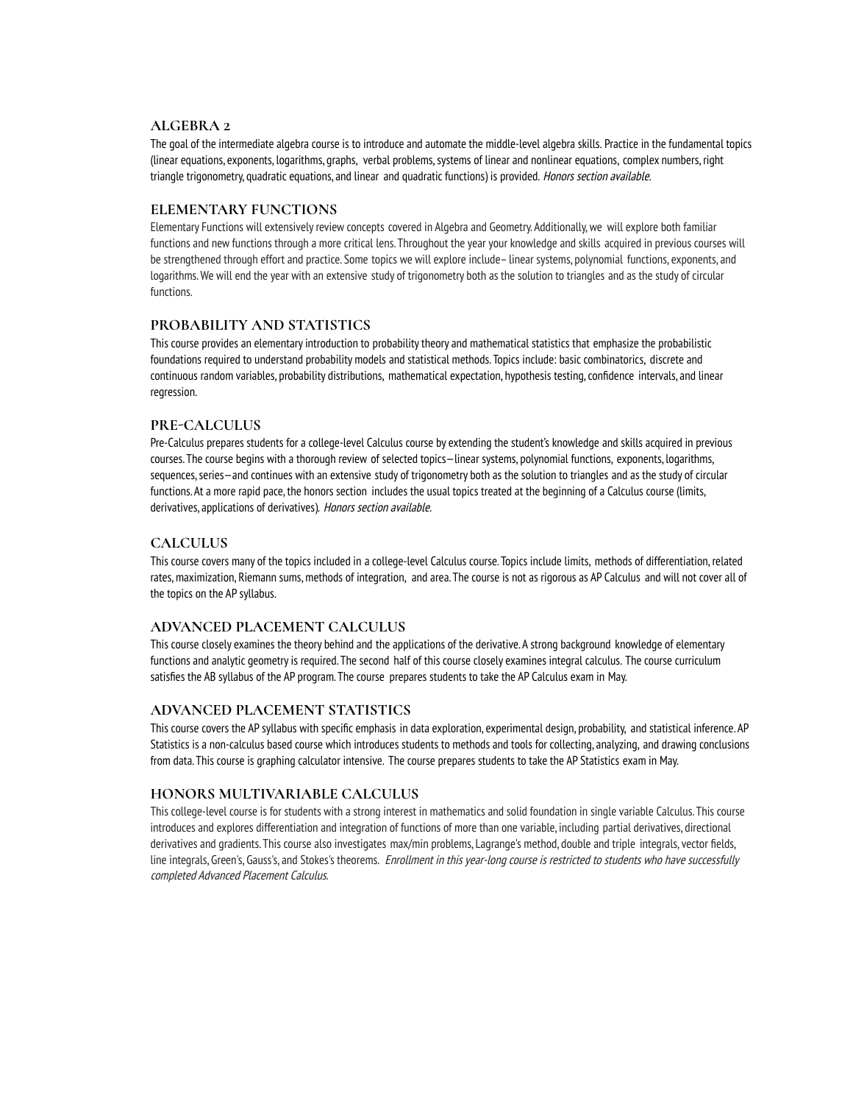### **ALGEBRA 2**

The goal of the intermediate algebra course is to introduce and automate the middle-level algebra skills. Practice in the fundamental topics (linear equations, exponents, logarithms, graphs, verbal problems,systems of linear and nonlinear equations, complex numbers, right triangle trigonometry, quadratic equations, and linear and quadratic functions) is provided. Honors section available.

### **ELEMENTARY FUNCTIONS**

Elementary Functions will extensivelyreview concepts covered in Algebra and Geometry. Additionally,we will explore both familiar functions and new functions through a more critical lens. Throughout the year your knowledge and skills acquired in previous courses will be strengthened through effort and practice. Some topics we will explore include– linear systems, polynomial functions, exponents, and logarithms.We will end the year with an extensive study of trigonometry both as the solution to triangles and as the study of circular functions.

### **PROBABILITY AND STATISTICS**

This course provides an elementary introduction to probability theory and mathematical statistics that emphasize the probabilistic foundations required to understand probability models and statistical methods. Topics include: basic combinatorics, discrete and continuous random variables, probability distributions, mathematical expectation, hypothesis testing, confidence intervals, and linear regression.

### **PRE-CALCULUS**

Pre-Calculus prepares students for a college-level Calculus course by extending the student's knowledge and skills acquired in previous courses. The course begins with a thorough review of selected topics—linear systems, polynomial functions, exponents, logarithms, sequences, series—and continues with an extensive study of trigonometry both as the solution to triangles and as the study of circular functions. At a more rapid pace, the honors section includes the usual topics treated at the beginning of a Calculus course (limits, derivatives, applications of derivatives). Honors section available.

### **CALCULUS**

This course covers many of the topics included in a college-level Calculus course. Topics include limits, methods of differentiation, related rates, maximization, Riemann sums, methods of integration, and area. The course is not as rigorous as AP Calculus and will not cover all of the topics on the AP syllabus.

### **ADVANCED PLACEMENT CALCULUS**

This course closely examines the theory behind and the applications of the derivative. A strong background knowledge of elementary functions and analytic geometry is required. The second half of this course closely examines integral calculus. The course curriculum satisfies the AB syllabus of the AP program. The course prepares students to take the AP Calculus exam in May.

### **ADVANCED PLACEMENT STATISTICS**

This course covers the AP syllabus with specific emphasis in data exploration, experimental design, probability, and statistical inference. AP Statistics is a non-calculus based course which introduces students to methods and tools for collecting, analyzing, and drawing conclusions from data. This course is graphing calculator intensive. The course prepares students to take the AP Statistics exam in May.

### **HONORS MULTIVARIABLE CALCULUS**

This college-level course is for students with a strong interest in mathematics and solid foundation in single variable Calculus. This course introduces and explores differentiation and integration of functions of more than one variable, including partial derivatives, directional derivatives and gradients. This course also investigates max/min problems, Lagrange's method, double and triple integrals,vector fields, line integrals, Green's, Gauss's, and Stokes's theorems. Enrollment in this year-long course is restricted to students who have successfully completed Advanced Placement Calculus.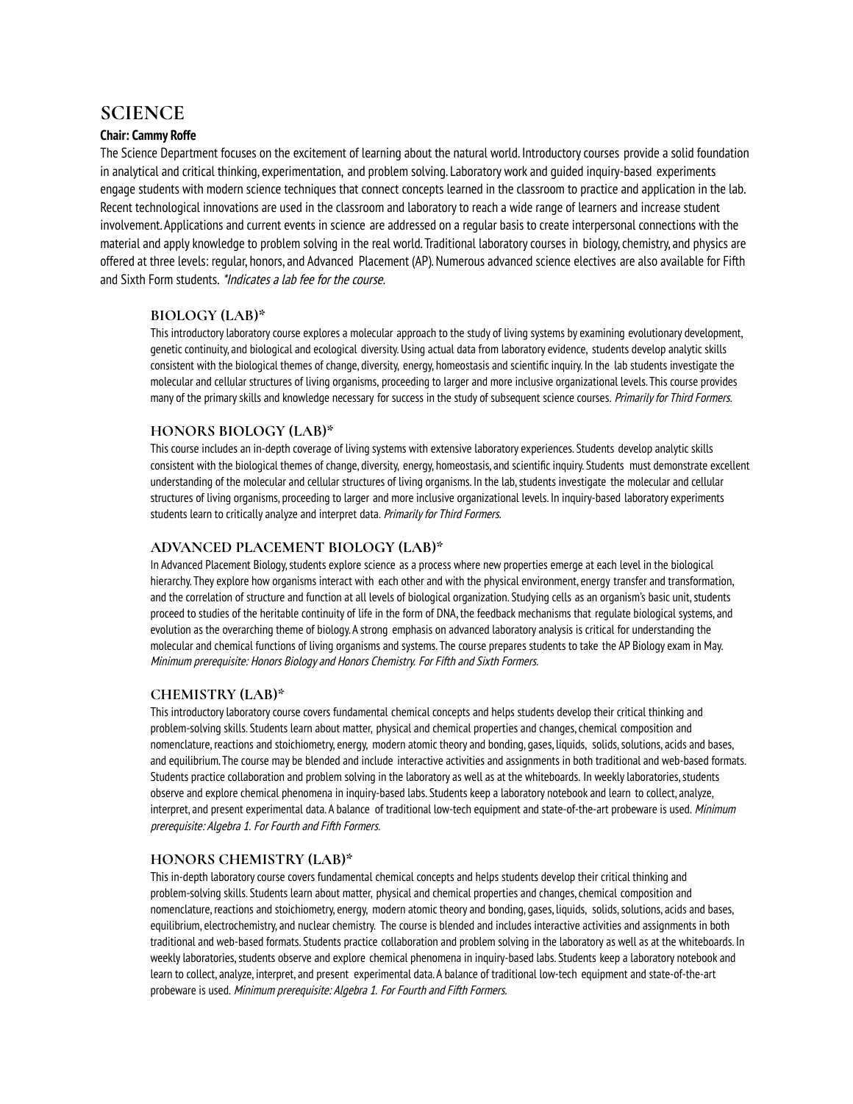## **SCIENCE**

### **Chair: Cammy Roffe**

The Science Department focuses on the excitement of learning about the natural world. Introductorycourses provide a solid foundation in analytical and critical thinking, experimentation, and problem solving. Laboratory work and guided inquiry-based experiments engage students with modern science techniques that connect concepts learned in the classroom to practice and application in the lab. Recent technological innovations are used in the classroom and laboratory to reach a wide range of learners and increase student involvement. Applications and current events in science are addressed on a regular basis to create interpersonal connections with the material and applyknowledge to problem solving in the real world. Traditional laboratorycourses in biology,chemistry, and physics are offered at three levels: regular, honors, and Advanced Placement (AP). Numerous advanced science electives are also available for Fifth and Sixth Form students. \*Indicates <sup>a</sup> lab fee for the course.

### **BIOLOGY (LAB)\***

This introductorylaboratorycourse explores a molecular approach to the study of living systems by examining evolutionary development, genetic continuity, and biological and ecological diversity. Using actual data from laboratory evidence, students develop analytic skills consistent with the biological themes of change, diversity, energy, homeostasis and scientific inquiry. In the lab students investigate the molecular and cellular structures of living organisms, proceeding to larger and more inclusive organizational levels. This course provides many of the primary skills and knowledge necessary for success in the study of subsequent science courses. Primarily for Third Formers.

### **HONORS BIOLOGY (LAB)\***

This course includes an in-depth coverage of living systems with extensive laboratory experiences. Students develop analytic skills consistent with the biological themes of change, diversity, energy, homeostasis, and scientific inquiry. Students must demonstrate excellent understanding of the molecular and cellular structures of living organisms. In the lab, students investigate the molecular and cellular structures of living organisms, proceeding to larger and more inclusive organizational levels. In inquiry-based laboratory experiments students learn to critically analyze and interpret data. Primarily for Third Formers.

### **ADVANCED PLACEMENT BIOLOGY (LAB)\***

In Advanced Placement Biology, students explore science as a process where new properties emerge at each level in the biological hierarchy. They explore how organisms interact with each other and with the physical environment, energy transfer and transformation, and the correlation of structure and function at all levels of biological organization. Studying cells as an organism's basic unit, students proceed to studies of the heritable continuity of life in the form of DNA, the feedback mechanisms that regulate biological systems, and evolution as the overarching theme of biology. A strong emphasis on advanced laboratory analysis is critical for understanding the molecular and chemical functions of living organisms and systems. The course prepares students to take the AP Biology exam in May. Minimum prerequisite: Honors Biology and Honors Chemistry. For Fifth and Sixth Formers.

### **CHEMISTRY (LAB)\***

This introductorylaboratorycourse covers fundamental chemical concepts and helps students develop their critical thinking and problem-solving skills. Students learn about matter, physical and chemical properties and changes, chemical composition and nomenclature, reactions and stoichiometry, energy, modern atomic theory and bonding, gases, liquids, solids,solutions, acids and bases, and equilibrium. The course may be blended and include interactive activities and assignments in both traditional and web-based formats. Students practice collaboration and problem solving in the laboratory as well as at the whiteboards. In weekly laboratories, students observe and explore chemical phenomena in inquiry-based labs. Students keep a laboratory notebook and learn to collect, analyze, interpret, and present experimental data. A balance of traditional low-tech equipment and state-of-the-art probeware is used. Minimum prerequisite: Algebra 1. For Fourth and Fifth Formers.

### **HONORS CHEMISTRY (LAB)\***

This in-depth laboratorycourse covers fundamental chemical concepts and helps students develop their critical thinking and problem-solving skills. Students learn about matter, physical and chemical properties and changes,chemical composition and nomenclature, reactions and stoichiometry, energy, modern atomic theory and bonding, gases, liquids, solids, solutions, acids and bases, equilibrium, electrochemistry, and nuclear chemistry. The course is blended and includes interactive activities and assignments in both traditional and web-based formats. Students practice collaboration and problem solving in the laboratory as well as at the whiteboards. In weekly laboratories, students observe and explore chemical phenomena in inquiry-based labs. Students keep a laboratory notebook and learn to collect, analyze, interpret, and present experimental data. A balance of traditional low-tech equipment and state-of-the-art probeware is used. Minimum prerequisite: Algebra 1. For Fourth and Fifth Formers.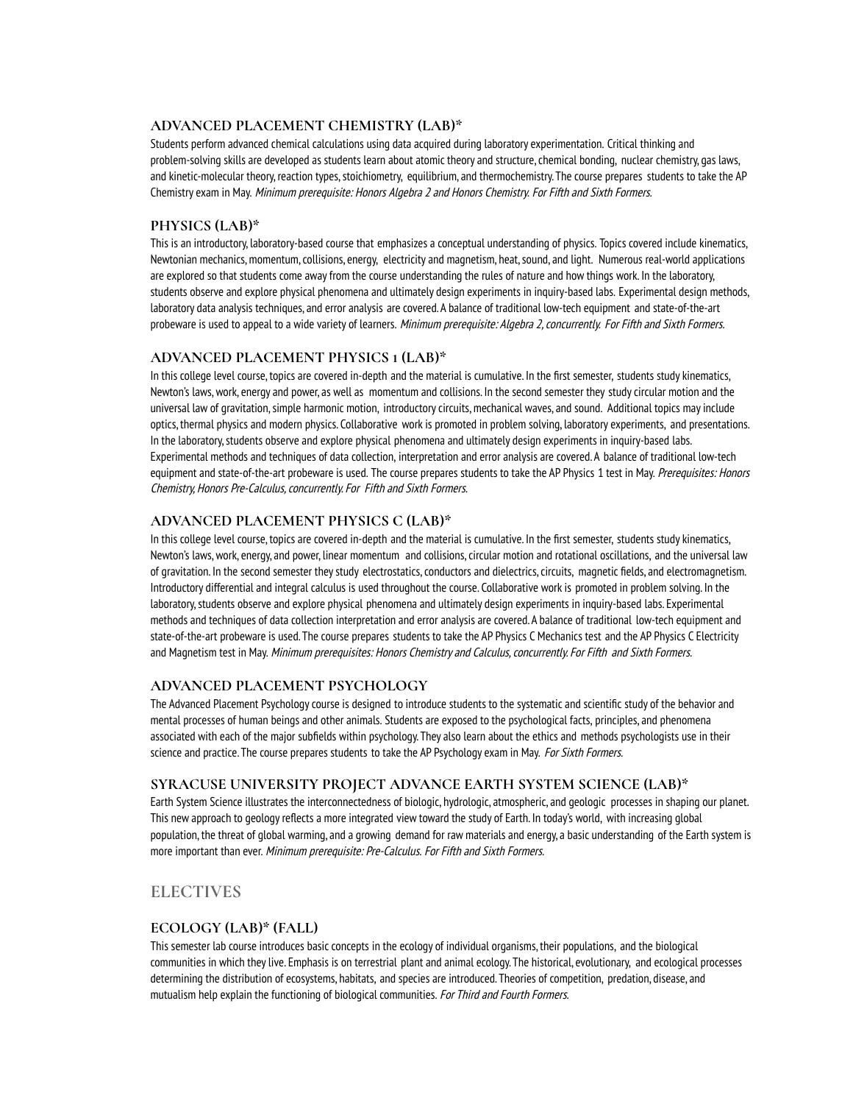### **ADVANCED PLACEMENT CHEMISTRY (LAB)\***

Students perform advanced chemical calculations using data acquired during laboratory experimentation. Critical thinking and problem-solving skills are developed as students learn about atomic theory and structure, chemical bonding, nuclear chemistry, gas laws, and kinetic-molecular theory, reaction types, stoichiometry, equilibrium, and thermochemistry. The course prepares students to take the AP Chemistry exam in May. Minimum prerequisite: Honors Algebra 2 and Honors Chemistry. For Fifth and Sixth Formers.

### **PHYSICS (LAB)\***

This is an introductory, laboratory-based course that emphasizes a conceptual understanding of physics. Topics covered include kinematics, Newtonian mechanics,momentum,collisions, energy, electricity and magnetism, heat,sound, and light. Numerous real-world applications are explored so that students come awayfrom the course understanding the rules of nature and how things work. In the laboratory, students observe and explore physical phenomena and ultimately design experiments in inquiry-based labs. Experimental design methods, laboratory data analysis techniques, and error analysis are covered. A balance of traditional low-tech equipment and state-of-the-art probeware is used to appeal to a wide variety of learners. Minimum prerequisite: Algebra 2, concurrently. For Fifth and Sixth Formers.

### **ADVANCED PLACEMENT PHYSICS 1 (LAB)\***

In this college level course, topics are covered in-depth and the material is cumulative. In the first semester, students study kinematics, Newton's laws, work, energy and power, as well as momentum and collisions. In the second semester they study circular motion and the universal law of gravitation, simple harmonic motion, introductory circuits, mechanical waves, and sound. Additional topics may include optics, thermal physics and modern physics. Collaborative workis promoted in problem solving, laboratory experiments, and presentations. In the laboratory, students observe and explore physical phenomena and ultimately design experiments in inquiry-based labs. Experimental methods and techniques of data collection, interpretation and error analysis are covered. A balance of traditional low-tech equipment and state-of-the-art probeware is used. The course prepares students to take the AP Physics 1 test in May. Prerequisites: Honors Chemistry, Honors Pre-Calculus, concurrently. For Fifth and Sixth Formers.

### **ADVANCED PLACEMENT PHYSICS C (LAB)\***

In this college level course, topics are covered in-depth and the material is cumulative. In the first semester, students study kinematics, Newton's laws,work, energy, and power, linear momentum and collisions,circular motion and rotational oscillations, and the universal law of gravitation. In the second semester they study electrostatics, conductors and dielectrics, circuits, magnetic fields, and electromagnetism. Introductory differential and integral calculus is used throughout the course. Collaborative workis promoted in problem solving. In the laboratory,students observe and explore physical phenomena and ultimately design experiments in inquiry-based labs. Experimental methods and techniques of data collection interpretation and error analysis are covered. A balance of traditional low-tech equipment and state-of-the-art probeware is used. The course prepares students to take the AP Physics C Mechanics test and the AP Physics C Electricity and Magnetism test in May. Minimum prerequisites: Honors Chemistry and Calculus, concurrently. For Fifth and Sixth Formers.

### **ADVANCED PLACEMENT PSYCHOLOGY**

The Advanced Placement Psychologycourse is designed to introduce students to the systematic and scientific study of the behavior and mental processes of human beings and other animals. Students are exposed to the psychological facts, principles, and phenomena associated with each of the major subfields within psychology. They also learn about the ethics and methods psychologists use in their science and practice. The course prepares students to take the AP Psychology exam in May. For Sixth Formers.

### **SYRACUSE UNIVERSITY PROJECT ADVANCE EARTH SYSTEM SCIENCE (LAB)\***

Earth System Science illustrates the interconnectedness of biologic, hydrologic, atmospheric, and geologic processes in shaping our planet. This new approach to geology reflects a more integrated view toward the study of Earth. In today's world, with increasing global population, the threat of global warming, and a growing demand for raw materials and energy, a basic understanding of the Earth system is more important than ever. Minimum prerequisite: Pre-Calculus. For Fifth and Sixth Formers.

### **ELECTIVES**

### **ECOLOGY (LAB)\* (FALL)**

This semester lab course introduces basic concepts in the ecology of individual organisms, their populations, and the biological communities in which theylive. Emphasis is on terrestrial plant and animal ecology. The historical, evolutionary, and ecological processes determining the distribution of ecosystems, habitats, and species are introduced. Theories of competition, predation, disease, and mutualism help explain the functioning of biological communities. For Third and Fourth Formers.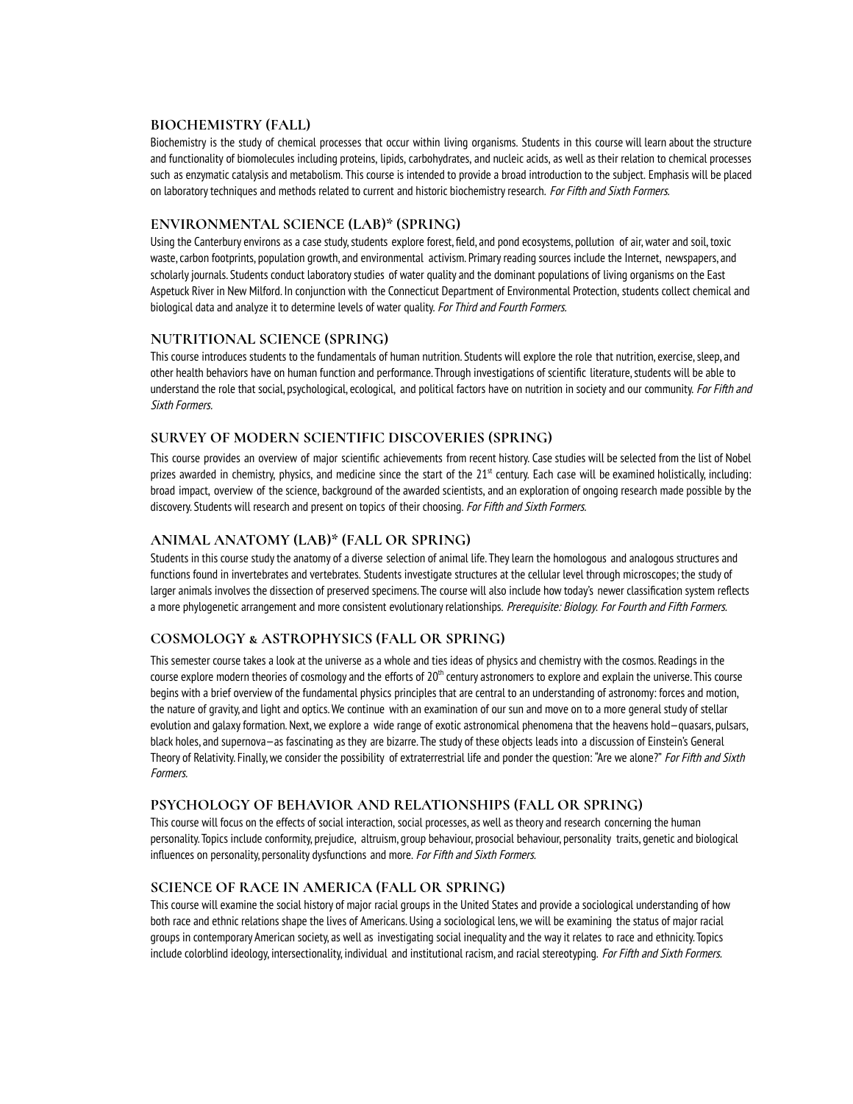### **BIOCHEMISTRY (FALL)**

Biochemistry is the study of chemical processes that occur within living organisms. Students in this course will learn about the structure and functionality of biomolecules including proteins, lipids, carbohydrates, and nucleic acids, as well as their relation to chemical processes such as enzymatic catalysis and metabolism. This course is intended to provide a broad introduction to the subject. Emphasis will be placed on laboratory techniques and methods related to current and historic biochemistry research. For Fifth and Sixth Formers.

### **ENVIRONMENTAL SCIENCE (LAB)\* (SPRING)**

Using the Canterbury environs as a case study, students explore forest, field, and pond ecosystems, pollution of air, water and soil, toxic waste,carbon footprints, population growth, and environmental activism. Primaryreading sources include the Internet, newspapers, and scholarly journals. Students conduct laboratory studies of water quality and the dominant populations of living organisms on the East Aspetuck River in New Milford. In conjunction with the Connecticut Department of Environmental Protection, students collect chemical and biological data and analyze it to determine levels of water quality. For Third and Fourth Formers.

### **NUTRITIONAL SCIENCE (SPRING)**

This course introduces students to the fundamentals of human nutrition. Students will explore the role that nutrition, exercise,sleep, and other health behaviors have on human function and performance. Through investigations of scientific literature, students will be able to understand the role that social, psychological, ecological, and political factors have on nutrition in society and our community. For Fifth and Sixth Formers.

### **SURVEY OF MODERN SCIENTIFIC DISCOVERIES (SPRING)**

This course provides an overview of major scientific achievements from recent history. Case studies will be selected from the list of Nobel prizes awarded in chemistry, physics, and medicine since the start of the 21<sup>st</sup> century. Each case will be examined holistically, including: broad impact, overview of the science, background of the awarded scientists, and an exploration of ongoing research made possible by the discovery. Students will research and present on topics of their choosing. For Fifth and Sixth Formers.

### **ANIMAL ANATOMY (LAB)\* (FALL OR SPRING)**

Students in this course studythe anatomy of a diverse selection of animal life. Theylearn the homologous and analogous structures and functions found in invertebrates and vertebrates. Students investigate structures at the cellular level through microscopes; the study of larger animals involves the dissection of preserved specimens. The course will also include how today's newer classification system reflects a more phylogenetic arrangement and more consistent evolutionary relationships. Prerequisite: Biology. For Fourth and Fifth Formers.

### **COSMOLOGY & ASTROPHYSICS (FALL OR SPRING)**

This semester course takes a look at the universe as a whole and ties ideas of physics and chemistry with the cosmos. Readings in the course explore modern theories of cosmology and the efforts of  $20^{\text{th}}$  century astronomers to explore and explain the universe. This course begins with a brief overview of the fundamental physics principles that are central to an understanding of astronomy: forces and motion, the nature of gravity, and light and optics.We continue with an examination of our sun and move on to a more general study of stellar evolution and galaxyformation. Next,we explore a wide range of exotic astronomical phenomena that the heavens hold—quasars, pulsars, black holes, and supernova—as fascinating as they are bizarre. The study of these objects leads into a discussion of Einstein's General Theory of Relativity. Finally, we consider the possibility of extraterrestrial life and ponder the question: "Are we alone?" For Fifth and Sixth Formers.

### **PSYCHOLOGY OF BEHAVIOR AND RELATIONSHIPS (FALL OR SPRING)**

This course will focus on the effects of social interaction, social processes, as well as theory and research concerning the human personality. Topics include conformity, prejudice, altruism, group behaviour, prosocial behaviour, personality traits, genetic and biological influences on personality, personality dysfunctions and more. For Fifth and Sixth Formers.

### **SCIENCE OF RACE IN AMERICA (FALL OR SPRING)**

This course will examine the social history of major racial groups in the United States and provide a sociological understanding of how both race and ethnic relations shape the lives of Americans. Using a sociological lens,we will be examining the status of major racial groups in contemporary American society, as well as investigating social inequality and the wayit relates to race and ethnicity. Topics include colorblind ideology, intersectionality, individual and institutional racism, and racial stereotyping. For Fifth and Sixth Formers.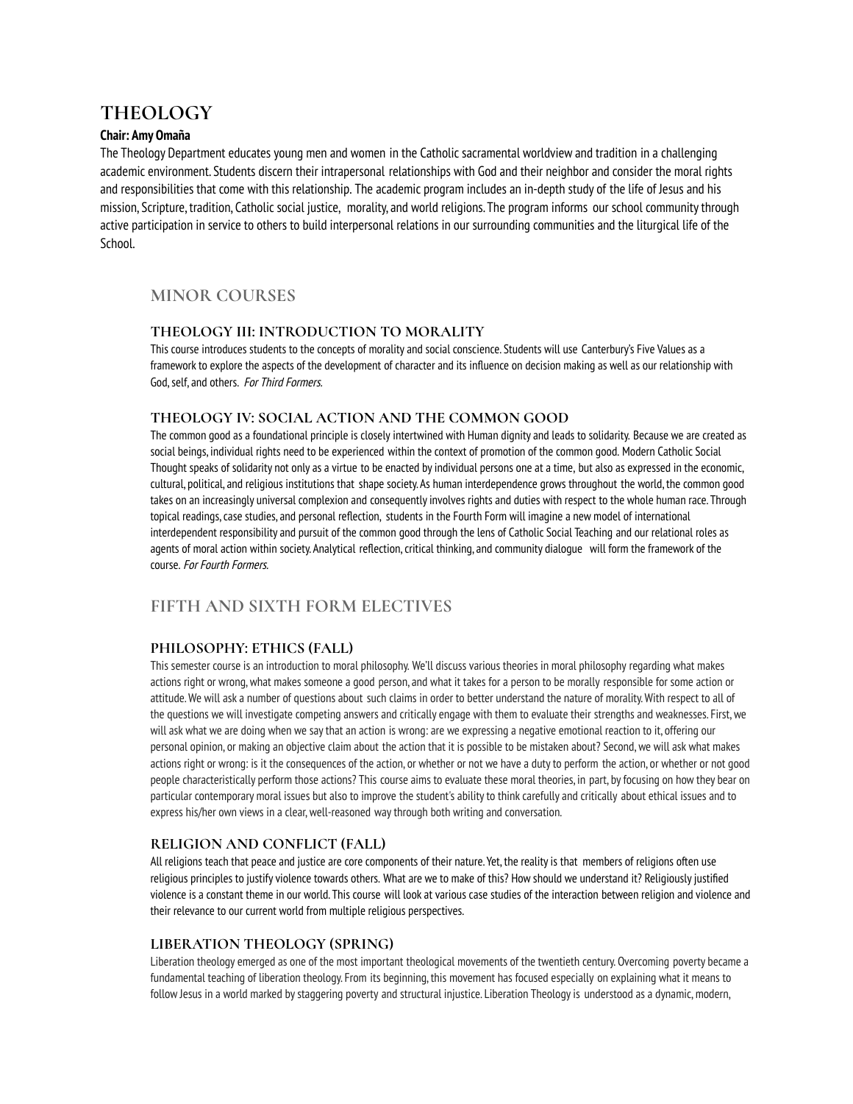## **THEOLOGY**

### **Chair: Amy Omaña**

The Theology Department educates young men and women in the Catholic sacramental worldview and tradition in a challenging academic environment. Students discern their intrapersonal relationships with God and their neighbor and consider the moral rights and responsibilities that come with this relationship. The academic program includes an in-depth study of the life of Jesus and his mission, Scripture, tradition, Catholic social justice, morality, and world religions. The program informs our school communitythrough active participation in service to others to build interpersonal relations in our surrounding communities and the liturgical life of the School.

## **MINOR COURSES**

### **THEOLOGY III: INTRODUCTION TO MORALITY**

This course introduces students to the concepts of morality and social conscience. Students will use Canterbury's Five Values as a frameworkto explore the aspects of the development of character and its influence on decision making as well as our relationship with God, self, and others. For Third Formers.

### **THEOLOGY IV: SOCIAL ACTION AND THE COMMON GOOD**

The common good as a foundational principle is closely intertwined with Human dignity and leads to solidarity. Because we are created as social beings, individual rights need to be experienced within the context of promotion of the common good. Modern Catholic Social Thought speaks of solidarity not only as a virtue to be enacted byindividual persons one at a time, but also as expressed in the economic, cultural, political, and religious institutions that shape society. As human interdependence grows throughout the world, the common good takes on an increasingly universal complexion and consequently involves rights and duties with respect to the whole human race. Through topical readings,case studies, and personal reflection, students in the Fourth Form will imagine a new model of international interdependent responsibility and pursuit of the common good through the lens of Catholic Social Teaching and our relational roles as agents of moral action within society. Analytical reflection, critical thinking, and community dialogue will form the framework of the course. For Fourth Formers.

## **FIFTH AND SIXTH FORM ELECTIVES**

### **PHILOSOPHY: ETHICS (FALL)**

This semester course is an introduction to moral philosophy. We'll discuss various theories in moral philosophy regarding what makes actions right or wrong,what makes someone a good person, and what it takes for a person to be morally responsible for some action or attitude.We will ask a number of questions about such claims in order to better understand the nature of morality.With respect to all of the questions we will investigate competing answers and critically engage with them to evaluate their strengths and weaknesses. First,we will ask what we are doing when we saythat an action is wrong: are we expressing a negative emotional reaction to it, offering our personal opinion, or making an objective claim about the action that it is possible to be mistaken about? Second,we will ask what makes actions right or wrong: is it the consequences of the action, or whether or not we have a dutyto perform the action, or whether or not good people characteristically perform those actions? This course aims to evaluate these moral theories, in part, byfocusing on how they bear on particular contemporary moral issues but also to improve the student's ability to think carefully and critically about ethical issues and to express his/her own views in a clear, well-reasoned way through both writing and conversation.

### **RELIGION AND CONFLICT (FALL)**

All religions teach that peace and justice are core components of their nature. Yet, the realityis that members of religions often use religious principles to justify violence towards others. What are we to make of this? How should we understand it? Religiously justified violence is a constant theme in our world. This course will look at various case studies of the interaction between religion and violence and their relevance to our current world from multiple religious perspectives.

### **LIBERATION THEOLOGY (SPRING)**

Liberation theology emerged as one of the most important theological movements of the twentieth century. Overcoming poverty became a fundamental teaching of liberation theology. From its beginning, this movement has focused especially on explaining what it means to follow Jesus in a world marked by staggering poverty and structural injustice. Liberation Theology is understood as a dynamic, modern,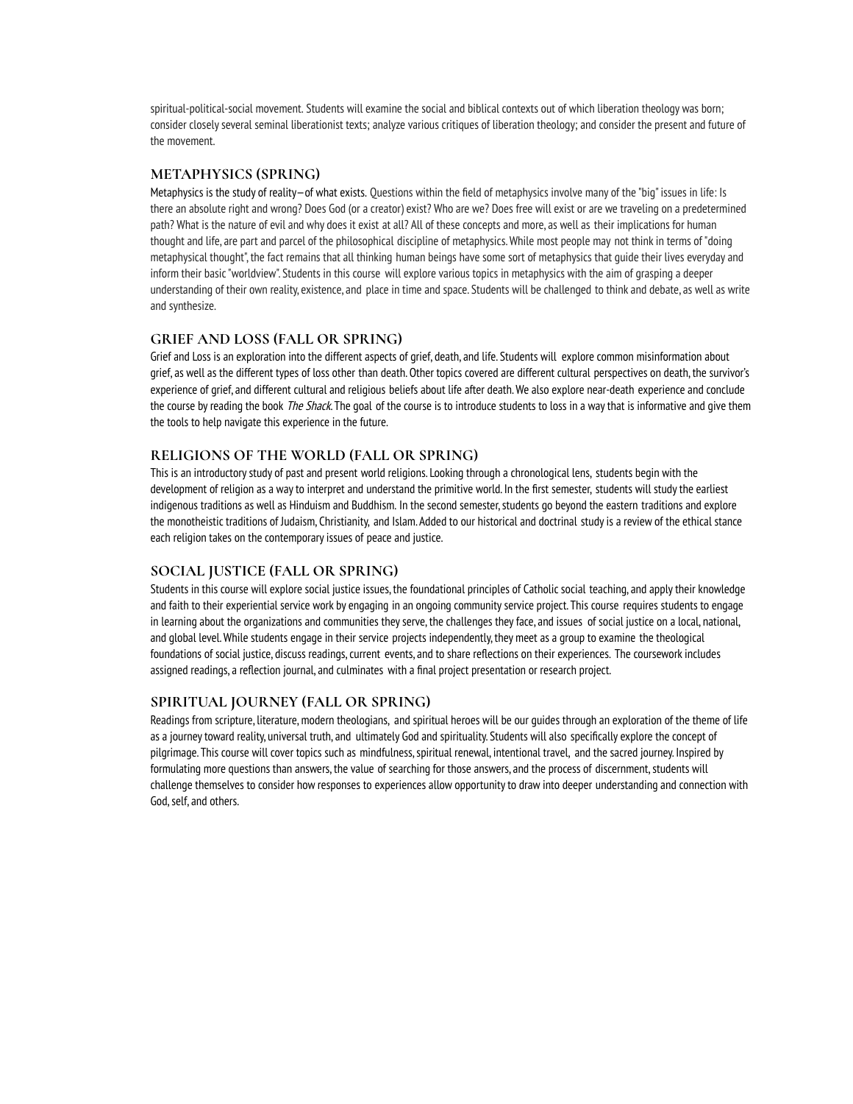spiritual-political-social movement. Students will examine the social and biblical contexts out of which liberation theology was born; consider closelyseveral seminal liberationist texts; analyze various critiques of liberation theology; and consider the present and future of the movement.

### **METAPHYSICS (SPRING)**

Metaphysics is the study of reality—of what exists. Questions within the field of metaphysics involve many of the "big" issues in life: Is there an absolute right and wrong? Does God (or a creator) exist? Who are we? Does free will exist or are we traveling on a predetermined path? What is the nature of evil and why does it exist at all? All of these concepts and more, as well as their implications for human thought and life, are part and parcel of the philosophical discipline of metaphysics.While most people may not thinkin terms of "doing metaphysical thought", the fact remains that all thinking human beings have some sort of metaphysics that guide their lives everyday and inform their basic"worldview". Students in this course will explore various topics in metaphysics with the aim of grasping a deeper understanding of their own reality, existence, and place in time and space. Students will be challenged to think and debate, as well as write and synthesize.

### **GRIEF AND LOSS (FALL OR SPRING)**

Grief and Loss is an exploration into the different aspects of grief, death, and life. Students will explore common misinformation about grief, as well as the different types of loss other than death. Other topics covered are different cultural perspectives on death, the survivor's experience of grief, and different cultural and religious beliefs about life after death.We also explore near-death experience and conclude the course by reading the book The Shack. The goal of the course is to introduce students to loss in a way that is informative and give them the tools to help navigate this experience in the future.

### **RELIGIONS OF THE WORLD (FALL OR SPRING)**

This is an introductory study of past and present world religions. Looking through a chronological lens, students begin with the development of religion as a wayto interpret and understand the primitive world. In the first semester, students will studythe earliest indigenous traditions as well as Hinduism and Buddhism. In the second semester, students go beyond the eastern traditions and explore the monotheistic traditions of Judaism, Christianity, and Islam. Added to our historical and doctrinal studyis a review of the ethical stance each religion takes on the contemporary issues of peace and justice.

### **SOCIAL JUSTICE (FALL OR SPRING)**

Students in this course will explore social justice issues, the foundational principles of Catholic social teaching, and applytheir knowledge and faith to their experiential service work by engaging in an ongoing community service project. This course requires students to engage in learning about the organizations and communities theyserve, the challenges theyface, and issues of social justice on a local, national, and global level.While students engage in their service projects independently, they meet as a group to examine the theological foundations of social justice, discuss readings, current events, and to share reflections on their experiences. The coursework includes assigned readings, a reflection journal, and culminates with a final project presentation or research project.

### **SPIRITUAL JOURNEY (FALL OR SPRING)**

Readings from scripture, literature, modern theologians, and spiritual heroes will be our quides through an exploration of the theme of life as a journey toward reality, universal truth, and ultimately God and spirituality. Students will also specifically explore the concept of pilgrimage. This course will cover topics such as mindfulness, spiritual renewal, intentional travel, and the sacred journey. Inspired by formulating more questions than answers, the value of searching for those answers, and the process of discernment, students will challenge themselves to consider how responses to experiences allow opportunityto draw into deeper understanding and connection with God, self, and others.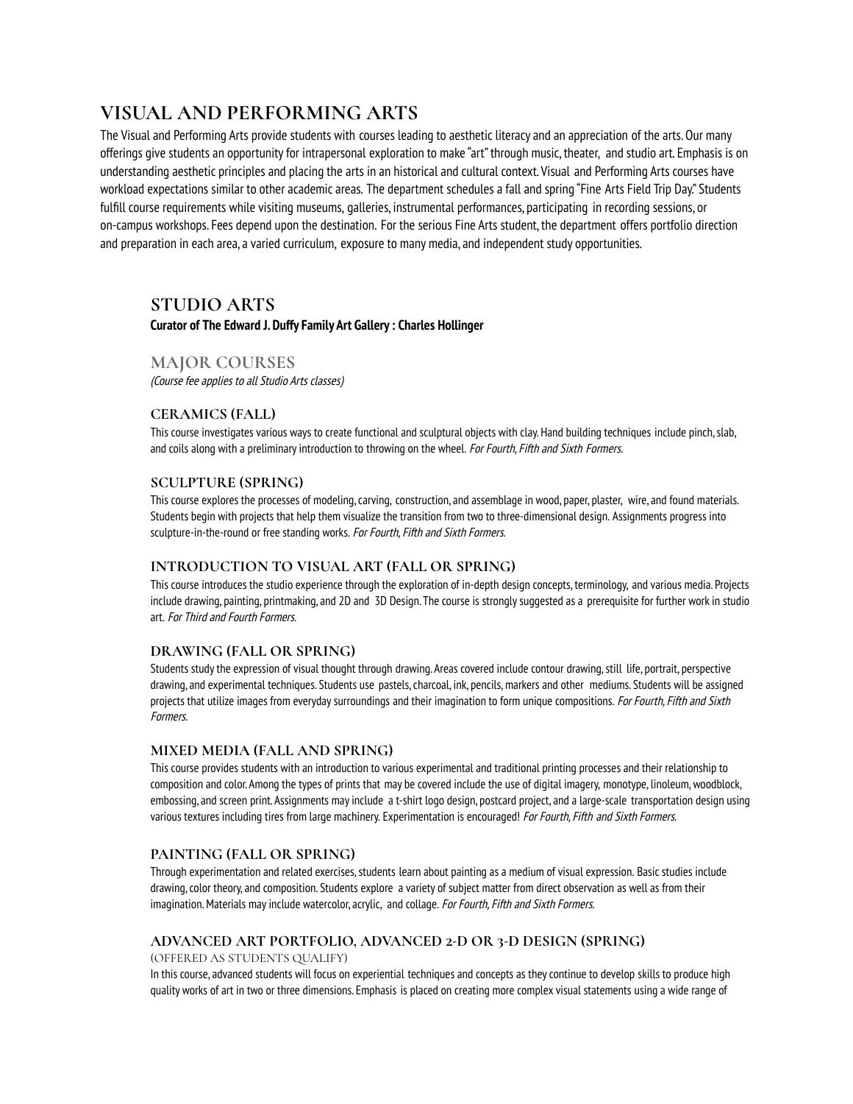## **VISUAL AND PERFORMING ARTS**

The Visual and Performing Arts provide students with courses leading to aesthetic literacy and an appreciation of the arts. Our many offerings give students an opportunity for intrapersonal exploration to make "art" through music, theater, and studio art. Emphasis is on understanding aesthetic principles and placing the arts in an historical and cultural context. Visual and Performing Arts courses have workload expectations similar to other academic areas. The department schedules a fall and spring "Fine Arts Field Trip Day." Students fulfill course requirements while visiting museums, galleries, instrumental performances, participating in recording sessions, or on-campus workshops. Fees depend upon the destination. For the serious Fine Arts student, the department offers portfolio direction and preparation in each area, a varied curriculum, exposure to many media, and independent study opportunities.

## **STUDIO ARTS**

**Curator of The Edward J. Duffy Family Art Gallery : Charles Hollinger**

## **MAJOR COURSES**

(Course fee applies to all Studio Arts classes)

### **CERAMICS (FALL)**

This course investigates various ways to create functional and sculptural objects with clay. Hand building techniques include pinch, slab, and coils along with a preliminary introduction to throwing on the wheel. For Fourth, Fifth and Sixth Formers.

### **SCULPTURE (SPRING)**

This course explores the processes of modeling,carving, construction, and assemblage in wood, paper, plaster, wire, and found materials. Students begin with projects that help them visualize the transition from two to three-dimensional design. Assignments progress into sculpture-in-the-round or free standing works. For Fourth, Fifth and Sixth Formers.

### **INTRODUCTION TO VISUAL ART (FALL OR SPRING)**

This course introduces the studio experience through the exploration of in-depth design concepts, terminology, and various media. Projects include drawing, painting, printmaking, and 2D and 3D Design. The course is strongly suggested as a prereguisite for further work in studio art. For Third and Fourth Formers.

### **DRAWING (FALL OR SPRING)**

Students studythe expression of visual thought through drawing. Areas covered include contour drawing,still life, portrait, perspective drawing, and experimental techniques. Students use pastels, charcoal, ink, pencils, markers and other mediums. Students will be assigned projects that utilize images from everyday surroundings and their imagination to form unique compositions. For Fourth, Fifth and Sixth Formers.

### **MIXED MEDIA (FALL AND SPRING)**

This course provides students with an introduction to various experimental and traditional printing processes and their relationship to composition and color. Among the types of prints that may be covered include the use of digital imagery, monotype, linoleum,woodblock, embossing, and screen print. Assignments mayinclude a t-shirt logo design, postcard project, and a large-scale transportation design using various textures including tires from large machinery. Experimentation is encouraged! For Fourth, Fifth and Sixth Formers.

### **PAINTING (FALL OR SPRING)**

Through experimentation and related exercises, students learn about painting as a medium of visual expression. Basic studies include drawing,color theory, and composition. Students explore a variety of subject matter from direct observation as well as from their imagination. Materials may include watercolor, acrylic, and collage. For Fourth, Fifth and Sixth Formers.

### **ADVANCED ART PORTFOLIO, ADVANCED 2-D OR 3-D DESIGN (SPRING)**

(OFFERED AS STUDENTS QUALIFY)

In this course, advanced students will focus on experiential techniques and concepts as theycontinue to develop skills to produce high quality works of art in two or three dimensions. Emphasis is placed on creating more complex visual statements using a wide range of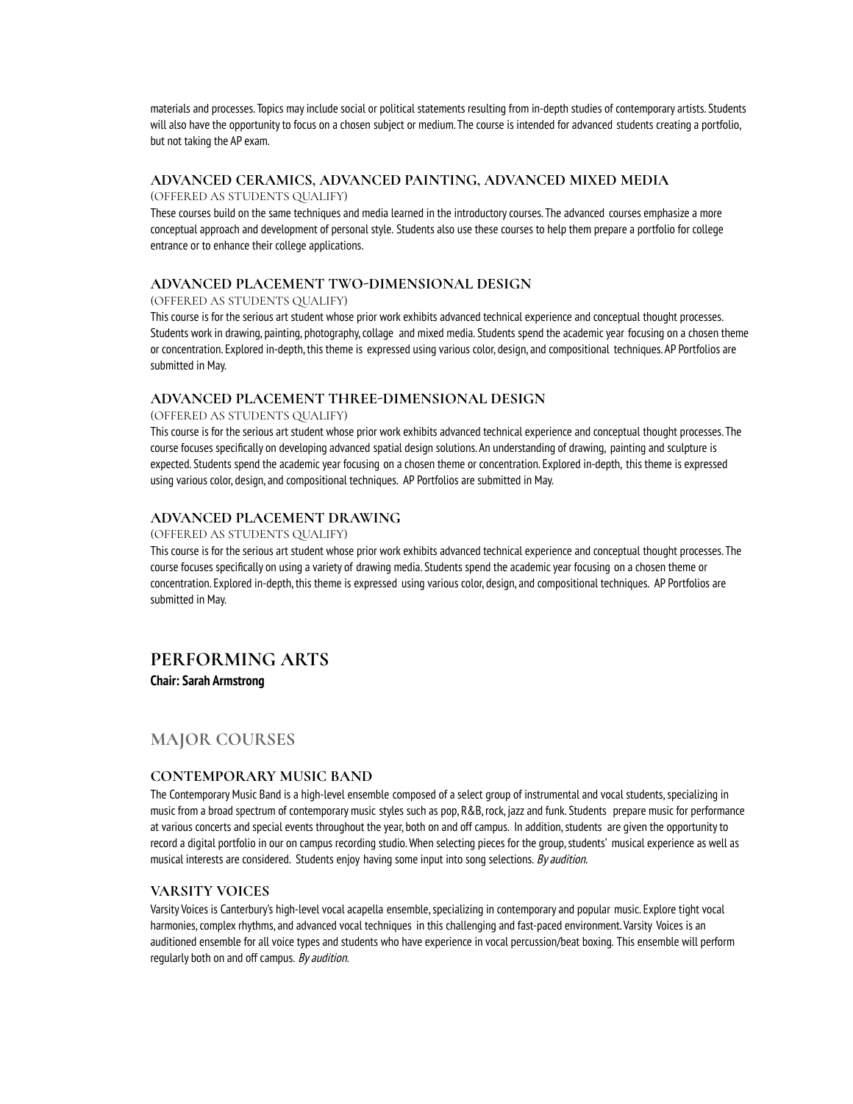materials and processes. Topics mayinclude social or political statements resulting from in-depth studies of contemporary artists. Students will also have the opportunityto focus on a chosen subject or medium. The course is intended for advanced students creating a portfolio, but not taking the AP exam.

### **ADVANCED CERAMICS, ADVANCED PAINTING, ADVANCED MIXED MEDIA** (OFFERED AS STUDENTS QUALIFY)

These courses build on the same techniques and media learned in the introductorycourses. The advanced courses emphasize a more conceptual approach and development of personal style. Students also use these courses to help them prepare a portfolio for college entrance or to enhance their college applications.

### **ADVANCED PLACEMENT TWO-DIMENSIONAL DESIGN**

(OFFERED AS STUDENTS QUALIFY)

This course is for the serious art student whose prior work exhibits advanced technical experience and conceptual thought processes. Students work in drawing, painting, photography, collage and mixed media. Students spend the academic year focusing on a chosen theme or concentration. Explored in-depth, this theme is expressed using various color, design, and compositional techniques. AP Portfolios are submitted in May.

### **ADVANCED PLACEMENT THREE-DIMENSIONAL DESIGN**

#### (OFFERED AS STUDENTS QUALIFY)

This course is for the serious art student whose prior work exhibits advanced technical experience and conceptual thought processes. The course focuses specifically on developing advanced spatial design solutions. An understanding of drawing, painting and sculpture is expected. Students spend the academic year focusing on a chosen theme or concentration. Explored in-depth, this theme is expressed using various color, design, and compositional techniques. AP Portfolios are submitted in May.

### **ADVANCED PLACEMENT DRAWING**

#### (OFFERED AS STUDENTS QUALIFY)

This course is for the serious art student whose prior work exhibits advanced technical experience and conceptual thought processes. The course focuses specifically on using a variety of drawing media. Students spend the academic year focusing on a chosen theme or concentration. Explored in-depth, this theme is expressed using various color, design, and compositional techniques. AP Portfolios are submitted in May.

## **PERFORMING ARTS**

**Chair: Sarah Armstrong**

## **MAJOR COURSES**

### **CONTEMPORARY MUSIC BAND**

The Contemporary Music Band is a high-level ensemble composed of a select group of instrumental and vocal students, specializing in music from a broad spectrum of contemporary music styles such as pop, R&B, rock, jazz and funk. Students prepare music for performance at various concerts and special events throughout the year, both on and off campus. In addition, students are given the opportunity to record a digital portfolio in our on campus recording studio.When selecting pieces for the group,students' musical experience as well as musical interests are considered. Students enjoy having some input into song selections. By audition.

### **VARSITY VOICES**

Varsity Voices is Canterbury's high-level vocal acapella ensemble, specializing in contemporary and popular music. Explore tight vocal harmonies,complex rhythms, and advanced vocal techniques in this challenging and fast-paced environment. Varsity Voices is an auditioned ensemble for all voice types and students who have experience in vocal percussion/beat boxing. This ensemble will perform regularly both on and off campus. By audition.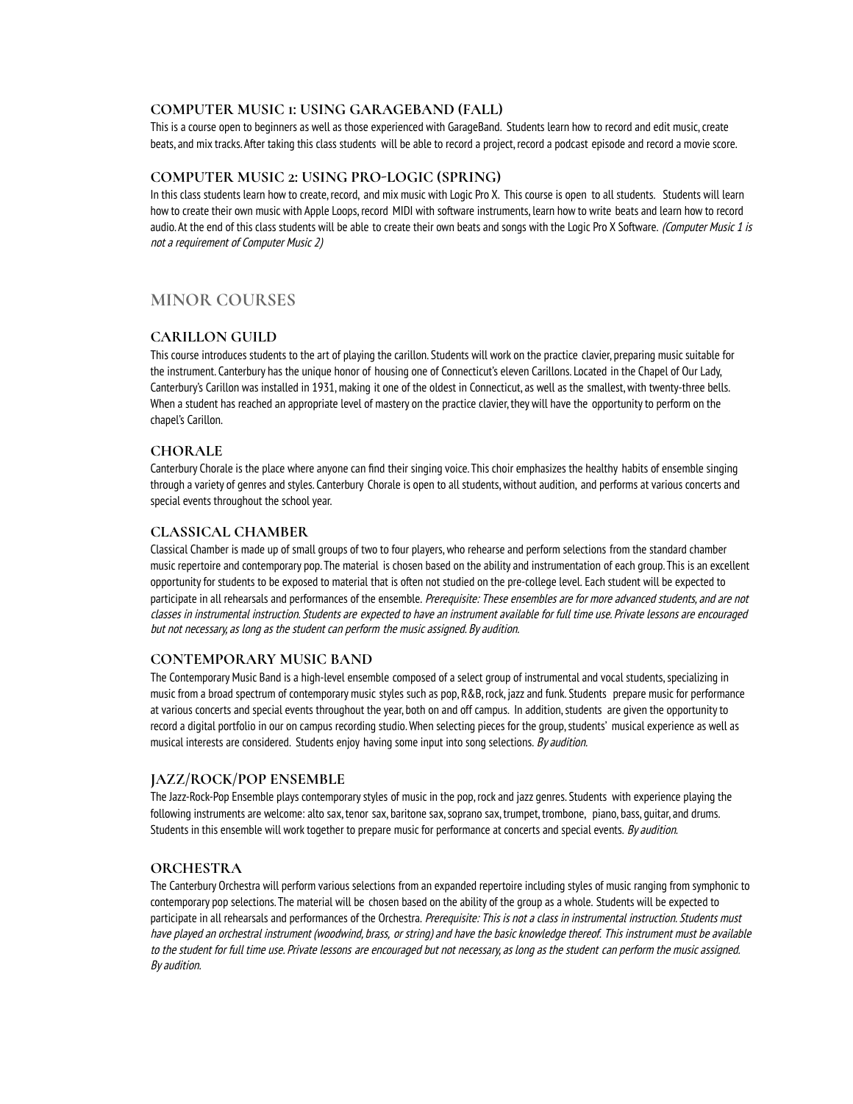### **COMPUTER MUSIC 1: USING GARAGEBAND (FALL)**

This is a course open to beginners as well as those experienced with GarageBand. Students learn how to record and edit music,create beats, and mix tracks. After taking this class students will be able to record a project, record a podcast episode and record a movie score.

### **COMPUTER MUSIC 2: USING PRO-LOGIC (SPRING)**

In this class students learn how to create, record, and mix music with Logic Pro X. This course is open to all students. Students will learn how to create their own music with Apple Loops, record MIDI with software instruments, learn how to write beats and learn how to record audio. At the end of this class students will be able to create their own beats and songs with the Logic Pro X Software. (Computer Music 1 is not <sup>a</sup> requirement of Computer Music 2)

## **MINOR COURSES**

### **CARILLON GUILD**

This course introduces students to the art of playing the carillon. Students will work on the practice clavier, preparing music suitable for the instrument. Canterbury has the unique honor of housing one of Connecticut's eleven Carillons. Located in the Chapel of Our Lady, Canterbury's Carillon was installed in 1931, making it one of the oldest in Connecticut, as well as the smallest, with twenty-three bells. When a student has reached an appropriate level of mastery on the practice clavier, they will have the opportunity to perform on the chapel's Carillon.

### **CHORALE**

Canterbury Chorale is the place where anyone can find their singing voice. This choir emphasizes the healthy habits of ensemble singing through a variety of genres and styles. Canterbury Chorale is open to all students, without audition, and performs at various concerts and special events throughout the school year.

### **CLASSICAL CHAMBER**

Classical Chamber is made up of small groups of two to four players,who rehearse and perform selections from the standard chamber music repertoire and contemporary pop. The material is chosen based on the ability and instrumentation of each group. This is an excellent opportunityfor students to be exposed to material that is often not studied on the pre-college level. Each student will be expected to participate in all rehearsals and performances of the ensemble. Prerequisite: These ensembles are for more advanced students, and are not classes in instrumental instruction. Students are expected to have an instrument available for full time use. Private lessons are encouraged but not necessary, as long as the student can perform the music assigned. By audition.

### **CONTEMPORARY MUSIC BAND**

The Contemporary Music Band is a high-level ensemble composed of a select group of instrumental and vocal students, specializing in music from a broad spectrum of contemporary music styles such as pop, R&B, rock, jazz and funk. Students prepare music for performance at various concerts and special events throughout the year, both on and off campus. In addition, students are given the opportunity to record a digital portfolio in our on campus recording studio.When selecting pieces for the group,students' musical experience as well as musical interests are considered. Students enjoy having some input into song selections. By audition.

### **JAZZ/ROCK/POP ENSEMBLE**

The Jazz-Rock-Pop Ensemble plays contemporarystyles of music in the pop, rock and jazz genres. Students with experience playing the following instruments are welcome: alto sax, tenor sax, baritone sax,soprano sax, trumpet, trombone, piano, bass, guitar, and drums. Students in this ensemble will work together to prepare music for performance at concerts and special events. By audition.

### **ORCHESTRA**

The Canterbury Orchestra will perform various selections from an expanded repertoire including styles of music ranging from symphonic to contemporary pop selections. The material will be chosen based on the ability of the group as a whole. Students will be expected to participate in all rehearsals and performances of the Orchestra. Prerequisite: This is not a class in instrumental instruction. Students must have played an orchestral instrument (woodwind, brass, or string) and have the basicknowledge thereof. This instrument must be available to the student for full time use. Private lessons are encouraged but not necessary, as long as the student can perform the music assigned. By audition.